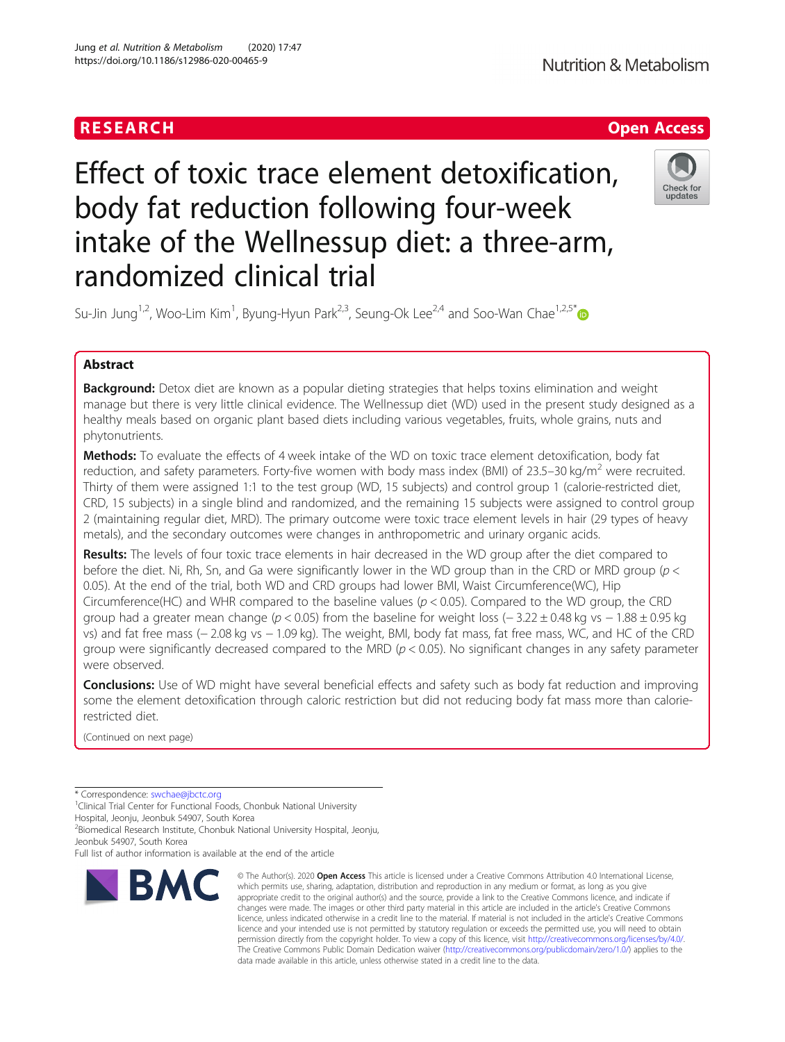

# Effect of toxic trace element detoxification, body fat reduction following four-week intake of the Wellnessup diet: a three-arm, randomized clinical trial



Su-Jin Jung<sup>1,2</sup>, Woo-Lim Kim<sup>1</sup>, Byung-Hyun Park<sup>2,3</sup>, Seung-Ok Lee<sup>2,4</sup> and Soo-Wan Chae<sup>1,2,5[\\*](http://orcid.org/0000-0003-3660-8272)</sup>

## Abstract

**Background:** Detox diet are known as a popular dieting strategies that helps toxins elimination and weight manage but there is very little clinical evidence. The Wellnessup diet (WD) used in the present study designed as a healthy meals based on organic plant based diets including various vegetables, fruits, whole grains, nuts and phytonutrients.

Methods: To evaluate the effects of 4 week intake of the WD on toxic trace element detoxification, body fat reduction, and safety parameters. Forty-five women with body mass index (BMI) of 23.5–30 kg/m<sup>2</sup> were recruited. Thirty of them were assigned 1:1 to the test group (WD, 15 subjects) and control group 1 (calorie-restricted diet, CRD, 15 subjects) in a single blind and randomized, and the remaining 15 subjects were assigned to control group 2 (maintaining regular diet, MRD). The primary outcome were toxic trace element levels in hair (29 types of heavy metals), and the secondary outcomes were changes in anthropometric and urinary organic acids.

Results: The levels of four toxic trace elements in hair decreased in the WD group after the diet compared to before the diet. Ni, Rh, Sn, and Ga were significantly lower in the WD group than in the CRD or MRD group (p < 0.05). At the end of the trial, both WD and CRD groups had lower BMI, Waist Circumference(WC), Hip Circumference(HC) and WHR compared to the baseline values ( $p < 0.05$ ). Compared to the WD group, the CRD group had a greater mean change ( $p < 0.05$ ) from the baseline for weight loss (−3.22 ± 0.48 kg vs − 1.88 ± 0.95 kg vs) and fat free mass (− 2.08 kg vs − 1.09 kg). The weight, BMI, body fat mass, fat free mass, WC, and HC of the CRD group were significantly decreased compared to the MRD ( $p < 0.05$ ). No significant changes in any safety parameter were observed.

**Conclusions:** Use of WD might have several beneficial effects and safety such as body fat reduction and improving some the element detoxification through caloric restriction but did not reducing body fat mass more than calorierestricted diet.

(Continued on next page)

\* Correspondence: [swchae@jbctc.org](mailto:swchae@jbctc.org) <sup>1</sup>

<sup>1</sup>Clinical Trial Center for Functional Foods, Chonbuk National University

Hospital, Jeonju, Jeonbuk 54907, South Korea

<sup>2</sup> Biomedical Research Institute, Chonbuk National University Hospital, Jeonju, Jeonbuk 54907, South Korea

Full list of author information is available at the end of the article



<sup>©</sup> The Author(s), 2020 **Open Access** This article is licensed under a Creative Commons Attribution 4.0 International License, which permits use, sharing, adaptation, distribution and reproduction in any medium or format, as long as you give appropriate credit to the original author(s) and the source, provide a link to the Creative Commons licence, and indicate if changes were made. The images or other third party material in this article are included in the article's Creative Commons licence, unless indicated otherwise in a credit line to the material. If material is not included in the article's Creative Commons licence and your intended use is not permitted by statutory regulation or exceeds the permitted use, you will need to obtain permission directly from the copyright holder. To view a copy of this licence, visit [http://creativecommons.org/licenses/by/4.0/.](http://creativecommons.org/licenses/by/4.0/) The Creative Commons Public Domain Dedication waiver [\(http://creativecommons.org/publicdomain/zero/1.0/](http://creativecommons.org/publicdomain/zero/1.0/)) applies to the data made available in this article, unless otherwise stated in a credit line to the data.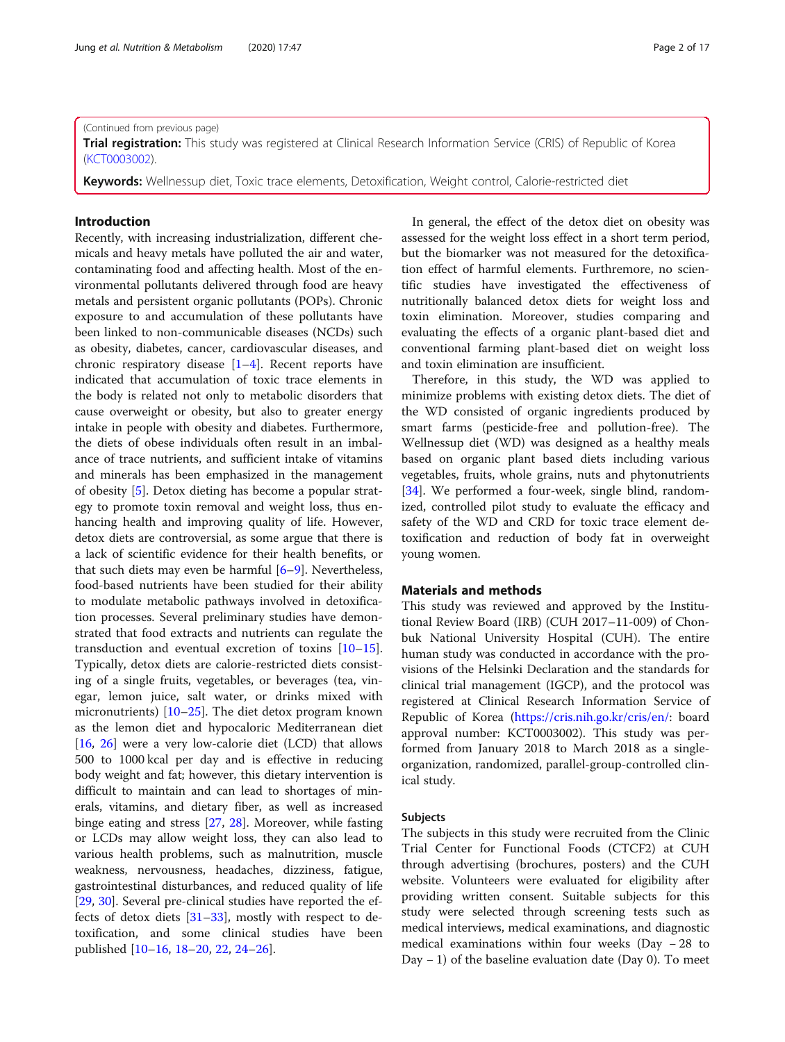#### (Continued from previous page)

Trial registration: This study was registered at Clinical Research Information Service (CRIS) of Republic of Korea ([KCT0003002\)](https://cris.nih.go.kr/cris/en/search/search_result_st01.jsp?seq=11460).

Keywords: Wellnessup diet, Toxic trace elements, Detoxification, Weight control, Calorie-restricted diet

#### Introduction

Recently, with increasing industrialization, different chemicals and heavy metals have polluted the air and water, contaminating food and affecting health. Most of the environmental pollutants delivered through food are heavy metals and persistent organic pollutants (POPs). Chronic exposure to and accumulation of these pollutants have been linked to non-communicable diseases (NCDs) such as obesity, diabetes, cancer, cardiovascular diseases, and chronic respiratory disease [[1](#page-15-0)–[4](#page-15-0)]. Recent reports have indicated that accumulation of toxic trace elements in the body is related not only to metabolic disorders that cause overweight or obesity, but also to greater energy intake in people with obesity and diabetes. Furthermore, the diets of obese individuals often result in an imbalance of trace nutrients, and sufficient intake of vitamins and minerals has been emphasized in the management of obesity [[5\]](#page-15-0). Detox dieting has become a popular strategy to promote toxin removal and weight loss, thus enhancing health and improving quality of life. However, detox diets are controversial, as some argue that there is a lack of scientific evidence for their health benefits, or that such diets may even be harmful [\[6](#page-15-0)–[9](#page-15-0)]. Nevertheless, food-based nutrients have been studied for their ability to modulate metabolic pathways involved in detoxification processes. Several preliminary studies have demonstrated that food extracts and nutrients can regulate the transduction and eventual excretion of toxins [[10](#page-15-0)–[15](#page-15-0)]. Typically, detox diets are calorie-restricted diets consisting of a single fruits, vegetables, or beverages (tea, vinegar, lemon juice, salt water, or drinks mixed with micronutrients) [[10](#page-15-0)–[25\]](#page-15-0). The diet detox program known as the lemon diet and hypocaloric Mediterranean diet [[16,](#page-15-0) [26\]](#page-15-0) were a very low-calorie diet (LCD) that allows 500 to 1000 kcal per day and is effective in reducing body weight and fat; however, this dietary intervention is difficult to maintain and can lead to shortages of minerals, vitamins, and dietary fiber, as well as increased binge eating and stress [[27](#page-15-0), [28\]](#page-15-0). Moreover, while fasting or LCDs may allow weight loss, they can also lead to various health problems, such as malnutrition, muscle weakness, nervousness, headaches, dizziness, fatigue, gastrointestinal disturbances, and reduced quality of life [[29,](#page-15-0) [30\]](#page-15-0). Several pre-clinical studies have reported the effects of detox diets [\[31](#page-15-0)–[33\]](#page-15-0), mostly with respect to detoxification, and some clinical studies have been published [\[10](#page-15-0)–[16,](#page-15-0) [18](#page-15-0)–[20,](#page-15-0) [22](#page-15-0), [24](#page-15-0)–[26](#page-15-0)].

In general, the effect of the detox diet on obesity was assessed for the weight loss effect in a short term period, but the biomarker was not measured for the detoxification effect of harmful elements. Furthremore, no scientific studies have investigated the effectiveness of nutritionally balanced detox diets for weight loss and toxin elimination. Moreover, studies comparing and evaluating the effects of a organic plant-based diet and conventional farming plant-based diet on weight loss and toxin elimination are insufficient.

Therefore, in this study, the WD was applied to minimize problems with existing detox diets. The diet of the WD consisted of organic ingredients produced by smart farms (pesticide-free and pollution-free). The Wellnessup diet (WD) was designed as a healthy meals based on organic plant based diets including various vegetables, fruits, whole grains, nuts and phytonutrients [[34\]](#page-15-0). We performed a four-week, single blind, randomized, controlled pilot study to evaluate the efficacy and safety of the WD and CRD for toxic trace element detoxification and reduction of body fat in overweight young women.

#### Materials and methods

This study was reviewed and approved by the Institutional Review Board (IRB) (CUH 2017–11-009) of Chonbuk National University Hospital (CUH). The entire human study was conducted in accordance with the provisions of the Helsinki Declaration and the standards for clinical trial management (IGCP), and the protocol was registered at Clinical Research Information Service of Republic of Korea [\(https://cris.nih.go.kr/cris/en/:](https://cris.nih.go.kr/cris/en/) board approval number: KCT0003002). This study was performed from January 2018 to March 2018 as a singleorganization, randomized, parallel-group-controlled clinical study.

#### Subjects

The subjects in this study were recruited from the Clinic Trial Center for Functional Foods (CTCF2) at CUH through advertising (brochures, posters) and the CUH website. Volunteers were evaluated for eligibility after providing written consent. Suitable subjects for this study were selected through screening tests such as medical interviews, medical examinations, and diagnostic medical examinations within four weeks (Day − 28 to Day − 1) of the baseline evaluation date (Day 0). To meet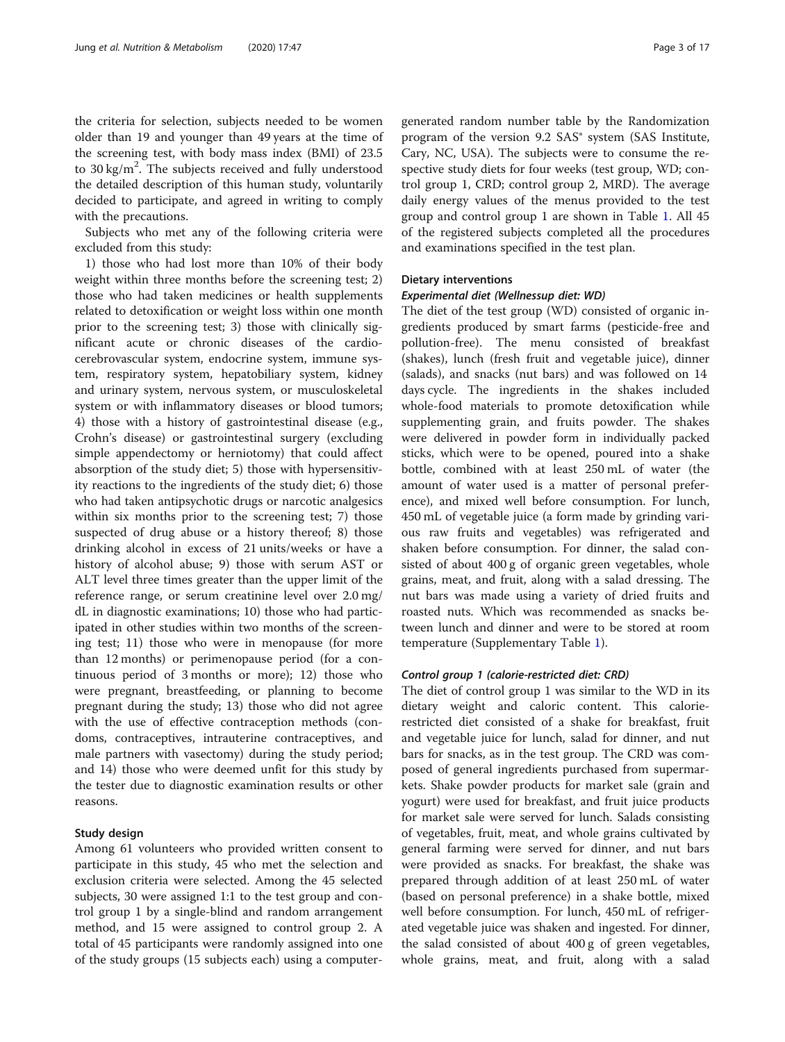the criteria for selection, subjects needed to be women older than 19 and younger than 49 years at the time of the screening test, with body mass index (BMI) of 23.5 to 30 kg/m<sup>2</sup>. The subjects received and fully understood the detailed description of this human study, voluntarily decided to participate, and agreed in writing to comply with the precautions.

Subjects who met any of the following criteria were excluded from this study:

1) those who had lost more than 10% of their body weight within three months before the screening test; 2) those who had taken medicines or health supplements related to detoxification or weight loss within one month prior to the screening test; 3) those with clinically significant acute or chronic diseases of the cardiocerebrovascular system, endocrine system, immune system, respiratory system, hepatobiliary system, kidney and urinary system, nervous system, or musculoskeletal system or with inflammatory diseases or blood tumors; 4) those with a history of gastrointestinal disease (e.g., Crohn's disease) or gastrointestinal surgery (excluding simple appendectomy or herniotomy) that could affect absorption of the study diet; 5) those with hypersensitivity reactions to the ingredients of the study diet; 6) those who had taken antipsychotic drugs or narcotic analgesics within six months prior to the screening test; 7) those suspected of drug abuse or a history thereof; 8) those drinking alcohol in excess of 21 units/weeks or have a history of alcohol abuse; 9) those with serum AST or ALT level three times greater than the upper limit of the reference range, or serum creatinine level over 2.0 mg/ dL in diagnostic examinations; 10) those who had participated in other studies within two months of the screening test; 11) those who were in menopause (for more than 12 months) or perimenopause period (for a continuous period of 3 months or more); 12) those who were pregnant, breastfeeding, or planning to become pregnant during the study; 13) those who did not agree with the use of effective contraception methods (condoms, contraceptives, intrauterine contraceptives, and male partners with vasectomy) during the study period; and 14) those who were deemed unfit for this study by the tester due to diagnostic examination results or other reasons.

#### Study design

Among 61 volunteers who provided written consent to participate in this study, 45 who met the selection and exclusion criteria were selected. Among the 45 selected subjects, 30 were assigned 1:1 to the test group and control group 1 by a single-blind and random arrangement method, and 15 were assigned to control group 2. A total of 45 participants were randomly assigned into one of the study groups (15 subjects each) using a computergenerated random number table by the Randomization program of the version 9.2 SAS® system (SAS Institute, Cary, NC, USA). The subjects were to consume the respective study diets for four weeks (test group, WD; control group 1, CRD; control group 2, MRD). The average daily energy values of the menus provided to the test group and control group 1 are shown in Table [1.](#page-3-0) All 45 of the registered subjects completed all the procedures and examinations specified in the test plan.

#### Dietary interventions

#### Experimental diet (Wellnessup diet: WD)

The diet of the test group (WD) consisted of organic ingredients produced by smart farms (pesticide-free and pollution-free). The menu consisted of breakfast (shakes), lunch (fresh fruit and vegetable juice), dinner (salads), and snacks (nut bars) and was followed on 14 days cycle. The ingredients in the shakes included whole-food materials to promote detoxification while supplementing grain, and fruits powder. The shakes were delivered in powder form in individually packed sticks, which were to be opened, poured into a shake bottle, combined with at least 250 mL of water (the amount of water used is a matter of personal preference), and mixed well before consumption. For lunch, 450 mL of vegetable juice (a form made by grinding various raw fruits and vegetables) was refrigerated and shaken before consumption. For dinner, the salad consisted of about 400 g of organic green vegetables, whole grains, meat, and fruit, along with a salad dressing. The nut bars was made using a variety of dried fruits and roasted nuts. Which was recommended as snacks between lunch and dinner and were to be stored at room temperature (Supplementary Table [1\)](#page-14-0).

#### Control group 1 (calorie-restricted diet: CRD)

The diet of control group 1 was similar to the WD in its dietary weight and caloric content. This calorierestricted diet consisted of a shake for breakfast, fruit and vegetable juice for lunch, salad for dinner, and nut bars for snacks, as in the test group. The CRD was composed of general ingredients purchased from supermarkets. Shake powder products for market sale (grain and yogurt) were used for breakfast, and fruit juice products for market sale were served for lunch. Salads consisting of vegetables, fruit, meat, and whole grains cultivated by general farming were served for dinner, and nut bars were provided as snacks. For breakfast, the shake was prepared through addition of at least 250 mL of water (based on personal preference) in a shake bottle, mixed well before consumption. For lunch, 450 mL of refrigerated vegetable juice was shaken and ingested. For dinner, the salad consisted of about 400 g of green vegetables, whole grains, meat, and fruit, along with a salad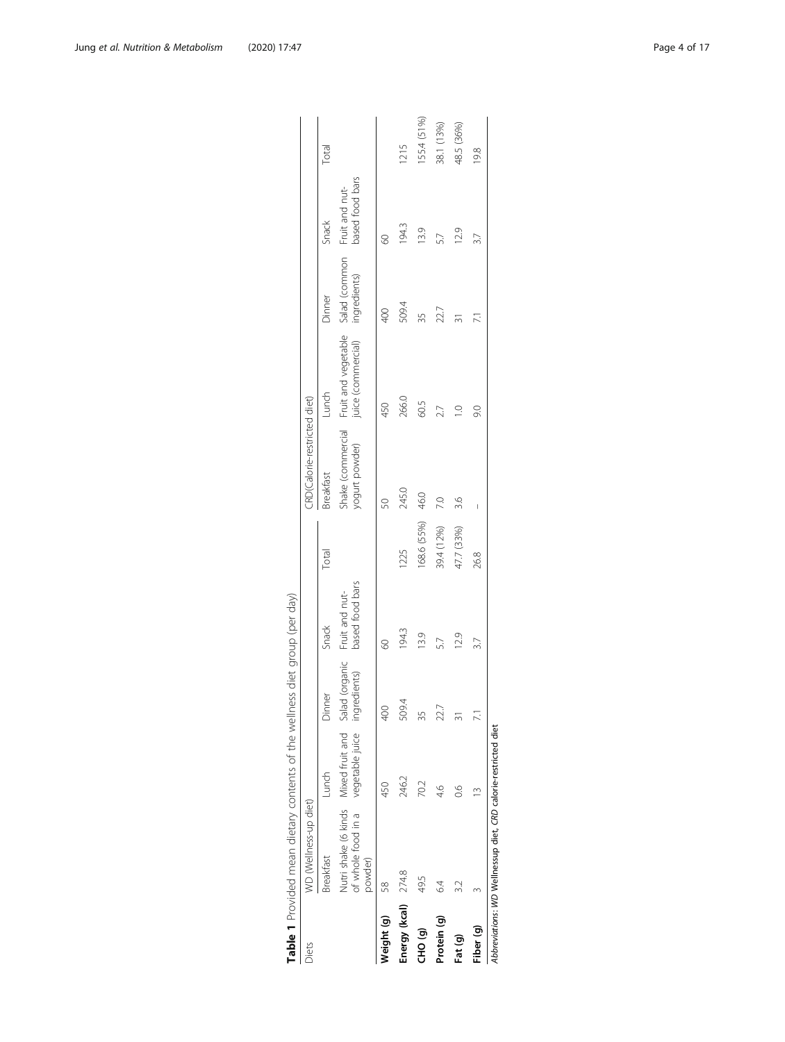| 155.4 (51%)<br>38.1 (13%)<br>48.5 (36%)<br>1215<br>Total<br>19.8<br>based food bars<br>Fruit and nut-<br>Snack<br>194.3<br>13.9<br>12.9<br>5.7<br>8<br>Fruit and vegetable Salad (common<br>juice (commercial) ingredients)<br>Dinner<br>509.4<br>22.7<br>400<br>55<br>$\overline{2}$<br>Lunch<br>CRD(Calorie-restricted diet)<br>266.0<br>60.5<br>450<br>2.7<br>9.0<br>Shake (commercial<br>yogurt powder)<br>Breakfast<br>245.0<br>46.0<br>$\overline{C}$<br>3.6<br>S<br>168.6 (55%)<br>39.4 (12%)<br>47.7 (33%)<br>Total<br>1225<br>26.8<br>based food bars<br>Fruit and nut-<br>Snack<br>194.3<br>13.9<br>12.9<br>3.7<br>8<br>Nutri shake (6 kinds Mixed fruit and Salad (organic<br>of whole food in a vegetable juice ingredients)<br>Dinner<br>509.4<br>$\frac{400}{5}$<br>22.7<br>35<br>Lunch<br>246.2<br>70.2<br>450<br>S.<br>$\frac{6}{4}$<br>WD (Wellness-up diet)<br>Breakfast<br>powder)<br>Energy (kcal) $274.8$<br>49.5<br>$\sim$<br>58<br>Neight (g)<br>Protein (g)<br>Fiber (q)<br>GHO (g)<br>Fat (g)<br>Diets | Table 1 Provided mean dietary contents of the wellness diet group (per day) |  |  |  |  |  |
|---------------------------------------------------------------------------------------------------------------------------------------------------------------------------------------------------------------------------------------------------------------------------------------------------------------------------------------------------------------------------------------------------------------------------------------------------------------------------------------------------------------------------------------------------------------------------------------------------------------------------------------------------------------------------------------------------------------------------------------------------------------------------------------------------------------------------------------------------------------------------------------------------------------------------------------------------------------------------------------------------------------------------------|-----------------------------------------------------------------------------|--|--|--|--|--|
|                                                                                                                                                                                                                                                                                                                                                                                                                                                                                                                                                                                                                                                                                                                                                                                                                                                                                                                                                                                                                                 |                                                                             |  |  |  |  |  |
|                                                                                                                                                                                                                                                                                                                                                                                                                                                                                                                                                                                                                                                                                                                                                                                                                                                                                                                                                                                                                                 |                                                                             |  |  |  |  |  |
|                                                                                                                                                                                                                                                                                                                                                                                                                                                                                                                                                                                                                                                                                                                                                                                                                                                                                                                                                                                                                                 |                                                                             |  |  |  |  |  |
|                                                                                                                                                                                                                                                                                                                                                                                                                                                                                                                                                                                                                                                                                                                                                                                                                                                                                                                                                                                                                                 |                                                                             |  |  |  |  |  |
|                                                                                                                                                                                                                                                                                                                                                                                                                                                                                                                                                                                                                                                                                                                                                                                                                                                                                                                                                                                                                                 |                                                                             |  |  |  |  |  |
|                                                                                                                                                                                                                                                                                                                                                                                                                                                                                                                                                                                                                                                                                                                                                                                                                                                                                                                                                                                                                                 |                                                                             |  |  |  |  |  |
|                                                                                                                                                                                                                                                                                                                                                                                                                                                                                                                                                                                                                                                                                                                                                                                                                                                                                                                                                                                                                                 |                                                                             |  |  |  |  |  |
|                                                                                                                                                                                                                                                                                                                                                                                                                                                                                                                                                                                                                                                                                                                                                                                                                                                                                                                                                                                                                                 |                                                                             |  |  |  |  |  |
|                                                                                                                                                                                                                                                                                                                                                                                                                                                                                                                                                                                                                                                                                                                                                                                                                                                                                                                                                                                                                                 |                                                                             |  |  |  |  |  |

| Ì<br>٦                                             |  |
|----------------------------------------------------|--|
| Ì<br>ţ                                             |  |
| Ì<br>)                                             |  |
|                                                    |  |
| i<br>١<br>j<br>Ì                                   |  |
| i<br>ł                                             |  |
| l<br>$-1 - 1 = 1$<br>$\overline{\phantom{a}}$<br>I |  |
| I<br>Ī<br>i<br>١<br>ī                              |  |
| ţ<br>I<br>٢<br>i<br>ì                              |  |
| δ<br>j<br>I                                        |  |
| I                                                  |  |
|                                                    |  |
|                                                    |  |

<span id="page-3-0"></span>Jung et al. Nutrition & Metabolism (2020) 17:47 Page 4 of 17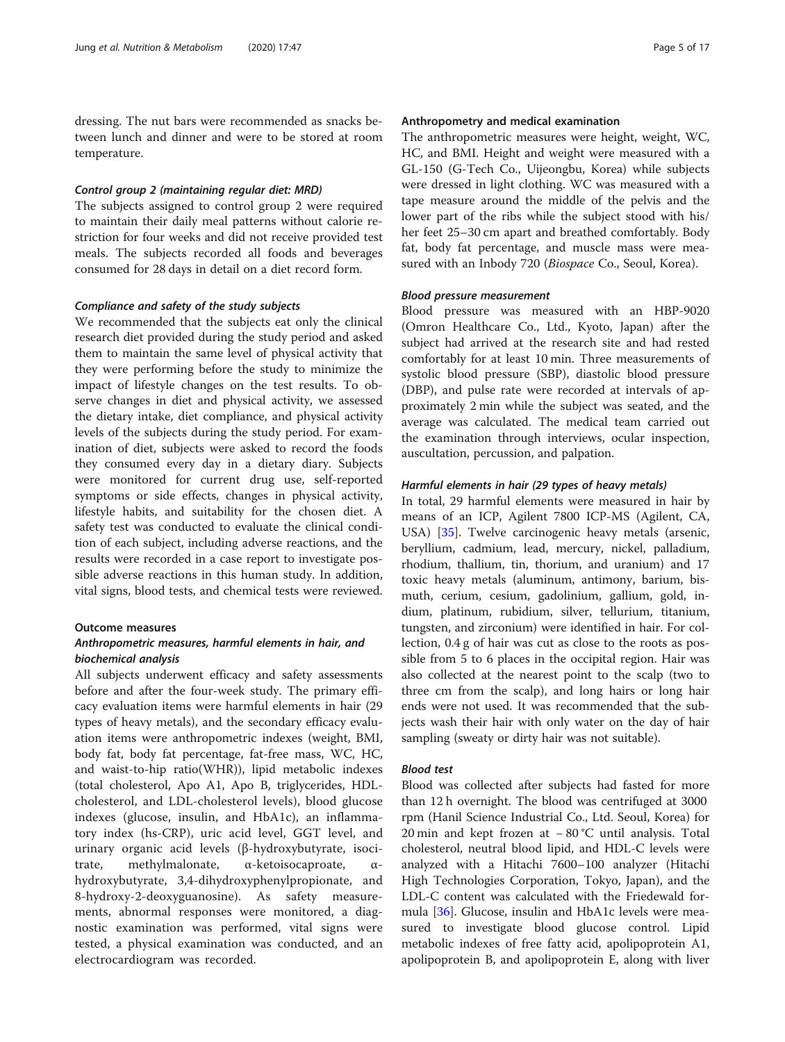dressing. The nut bars were recommended as snacks between lunch and dinner and were to be stored at room temperature.

#### Control group 2 (maintaining regular diet: MRD)

The subjects assigned to control group 2 were required to maintain their daily meal patterns without calorie restriction for four weeks and did not receive provided test meals. The subjects recorded all foods and beverages consumed for 28 days in detail on a diet record form.

#### Compliance and safety of the study subjects

We recommended that the subjects eat only the clinical research diet provided during the study period and asked them to maintain the same level of physical activity that they were performing before the study to minimize the impact of lifestyle changes on the test results. To observe changes in diet and physical activity, we assessed the dietary intake, diet compliance, and physical activity levels of the subjects during the study period. For examination of diet, subjects were asked to record the foods they consumed every day in a dietary diary. Subjects were monitored for current drug use, self-reported symptoms or side effects, changes in physical activity, lifestyle habits, and suitability for the chosen diet. A safety test was conducted to evaluate the clinical condition of each subject, including adverse reactions, and the results were recorded in a case report to investigate possible adverse reactions in this human study. In addition, vital signs, blood tests, and chemical tests were reviewed.

#### Outcome measures

#### Anthropometric measures, harmful elements in hair, and biochemical analysis

All subjects underwent efficacy and safety assessments before and after the four-week study. The primary efficacy evaluation items were harmful elements in hair (29 types of heavy metals), and the secondary efficacy evaluation items were anthropometric indexes (weight, BMI, body fat, body fat percentage, fat-free mass, WC, HC, and waist-to-hip ratio(WHR)), lipid metabolic indexes (total cholesterol, Apo A1, Apo B, triglycerides, HDLcholesterol, and LDL-cholesterol levels), blood glucose indexes (glucose, insulin, and HbA1c), an inflammatory index (hs-CRP), uric acid level, GGT level, and urinary organic acid levels (β-hydroxybutyrate, isocitrate, methylmalonate, α-ketoisocaproate, αhydroxybutyrate, 3,4-dihydroxyphenylpropionate, and 8-hydroxy-2-deoxyguanosine). As safety measurements, abnormal responses were monitored, a diagnostic examination was performed, vital signs were tested, a physical examination was conducted, and an electrocardiogram was recorded.

#### Anthropometry and medical examination

The anthropometric measures were height, weight, WC, HC, and BMI. Height and weight were measured with a GL-150 (G-Tech Co., Uijeongbu, Korea) while subjects were dressed in light clothing. WC was measured with a tape measure around the middle of the pelvis and the lower part of the ribs while the subject stood with his/ her feet 25–30 cm apart and breathed comfortably. Body fat, body fat percentage, and muscle mass were measured with an Inbody 720 (Biospace Co., Seoul, Korea).

#### Blood pressure measurement

Blood pressure was measured with an HBP-9020 (Omron Healthcare Co., Ltd., Kyoto, Japan) after the subject had arrived at the research site and had rested comfortably for at least 10 min. Three measurements of systolic blood pressure (SBP), diastolic blood pressure (DBP), and pulse rate were recorded at intervals of approximately 2 min while the subject was seated, and the average was calculated. The medical team carried out the examination through interviews, ocular inspection, auscultation, percussion, and palpation.

#### Harmful elements in hair (29 types of heavy metals)

In total, 29 harmful elements were measured in hair by means of an ICP, Agilent 7800 ICP-MS (Agilent, CA, USA) [\[35\]](#page-15-0). Twelve carcinogenic heavy metals (arsenic, beryllium, cadmium, lead, mercury, nickel, palladium, rhodium, thallium, tin, thorium, and uranium) and 17 toxic heavy metals (aluminum, antimony, barium, bismuth, cerium, cesium, gadolinium, gallium, gold, indium, platinum, rubidium, silver, tellurium, titanium, tungsten, and zirconium) were identified in hair. For collection, 0.4 g of hair was cut as close to the roots as possible from 5 to 6 places in the occipital region. Hair was also collected at the nearest point to the scalp (two to three cm from the scalp), and long hairs or long hair ends were not used. It was recommended that the subjects wash their hair with only water on the day of hair sampling (sweaty or dirty hair was not suitable).

#### Blood test

Blood was collected after subjects had fasted for more than 12 h overnight. The blood was centrifuged at 3000 rpm (Hanil Science Industrial Co., Ltd. Seoul, Korea) for 20 min and kept frozen at − 80 °C until analysis. Total cholesterol, neutral blood lipid, and HDL-C levels were analyzed with a Hitachi 7600–100 analyzer (Hitachi High Technologies Corporation, Tokyo, Japan), and the LDL-C content was calculated with the Friedewald formula [[36](#page-15-0)]. Glucose, insulin and HbA1c levels were measured to investigate blood glucose control. Lipid metabolic indexes of free fatty acid, apolipoprotein A1, apolipoprotein B, and apolipoprotein E, along with liver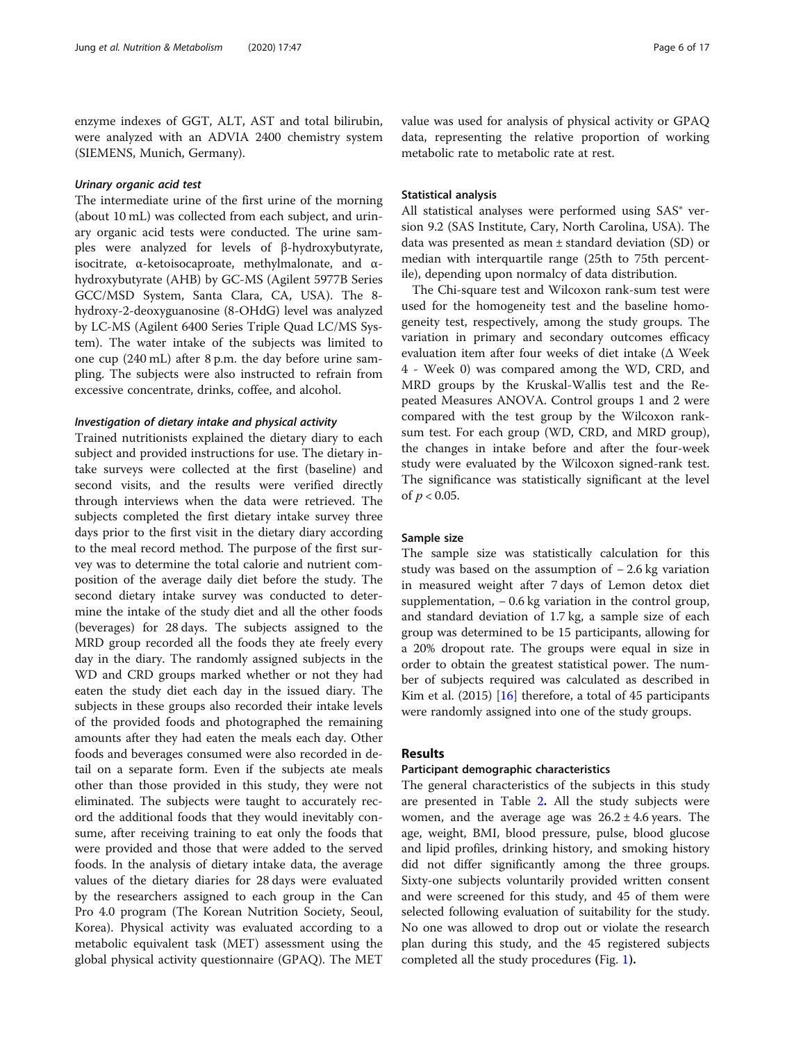enzyme indexes of GGT, ALT, AST and total bilirubin, were analyzed with an ADVIA 2400 chemistry system (SIEMENS, Munich, Germany).

#### Urinary organic acid test

The intermediate urine of the first urine of the morning (about 10 mL) was collected from each subject, and urinary organic acid tests were conducted. The urine samples were analyzed for levels of β-hydroxybutyrate, isocitrate, α-ketoisocaproate, methylmalonate, and αhydroxybutyrate (AHB) by GC-MS (Agilent 5977B Series GCC/MSD System, Santa Clara, CA, USA). The 8 hydroxy-2-deoxyguanosine (8-OHdG) level was analyzed by LC-MS (Agilent 6400 Series Triple Quad LC/MS System). The water intake of the subjects was limited to one cup (240 mL) after 8 p.m. the day before urine sampling. The subjects were also instructed to refrain from excessive concentrate, drinks, coffee, and alcohol.

#### Investigation of dietary intake and physical activity

Trained nutritionists explained the dietary diary to each subject and provided instructions for use. The dietary intake surveys were collected at the first (baseline) and second visits, and the results were verified directly through interviews when the data were retrieved. The subjects completed the first dietary intake survey three days prior to the first visit in the dietary diary according to the meal record method. The purpose of the first survey was to determine the total calorie and nutrient composition of the average daily diet before the study. The second dietary intake survey was conducted to determine the intake of the study diet and all the other foods (beverages) for 28 days. The subjects assigned to the MRD group recorded all the foods they ate freely every day in the diary. The randomly assigned subjects in the WD and CRD groups marked whether or not they had eaten the study diet each day in the issued diary. The subjects in these groups also recorded their intake levels of the provided foods and photographed the remaining amounts after they had eaten the meals each day. Other foods and beverages consumed were also recorded in detail on a separate form. Even if the subjects ate meals other than those provided in this study, they were not eliminated. The subjects were taught to accurately record the additional foods that they would inevitably consume, after receiving training to eat only the foods that were provided and those that were added to the served foods. In the analysis of dietary intake data, the average values of the dietary diaries for 28 days were evaluated by the researchers assigned to each group in the Can Pro 4.0 program (The Korean Nutrition Society, Seoul, Korea). Physical activity was evaluated according to a metabolic equivalent task (MET) assessment using the global physical activity questionnaire (GPAQ). The MET

value was used for analysis of physical activity or GPAQ data, representing the relative proportion of working metabolic rate to metabolic rate at rest.

#### Statistical analysis

All statistical analyses were performed using SAS<sup>®</sup> version 9.2 (SAS Institute, Cary, North Carolina, USA). The data was presented as mean ± standard deviation (SD) or median with interquartile range (25th to 75th percentile), depending upon normalcy of data distribution.

The Chi-square test and Wilcoxon rank-sum test were used for the homogeneity test and the baseline homogeneity test, respectively, among the study groups. The variation in primary and secondary outcomes efficacy evaluation item after four weeks of diet intake (Δ Week 4 - Week 0) was compared among the WD, CRD, and MRD groups by the Kruskal-Wallis test and the Repeated Measures ANOVA. Control groups 1 and 2 were compared with the test group by the Wilcoxon ranksum test. For each group (WD, CRD, and MRD group), the changes in intake before and after the four-week study were evaluated by the Wilcoxon signed-rank test. The significance was statistically significant at the level of  $p < 0.05$ .

#### Sample size

The sample size was statistically calculation for this study was based on the assumption of − 2.6 kg variation in measured weight after 7 days of Lemon detox diet supplementation, − 0.6 kg variation in the control group, and standard deviation of 1.7 kg, a sample size of each group was determined to be 15 participants, allowing for a 20% dropout rate. The groups were equal in size in order to obtain the greatest statistical power. The number of subjects required was calculated as described in Kim et al. (2015) [[16\]](#page-15-0) therefore, a total of 45 participants were randomly assigned into one of the study groups.

#### Results

#### Participant demographic characteristics

The general characteristics of the subjects in this study are presented in Table [2](#page-6-0). All the study subjects were women, and the average age was  $26.2 \pm 4.6$  years. The age, weight, BMI, blood pressure, pulse, blood glucose and lipid profiles, drinking history, and smoking history did not differ significantly among the three groups. Sixty-one subjects voluntarily provided written consent and were screened for this study, and 45 of them were selected following evaluation of suitability for the study. No one was allowed to drop out or violate the research plan during this study, and the 45 registered subjects completed all the study procedures (Fig. [1](#page-7-0)).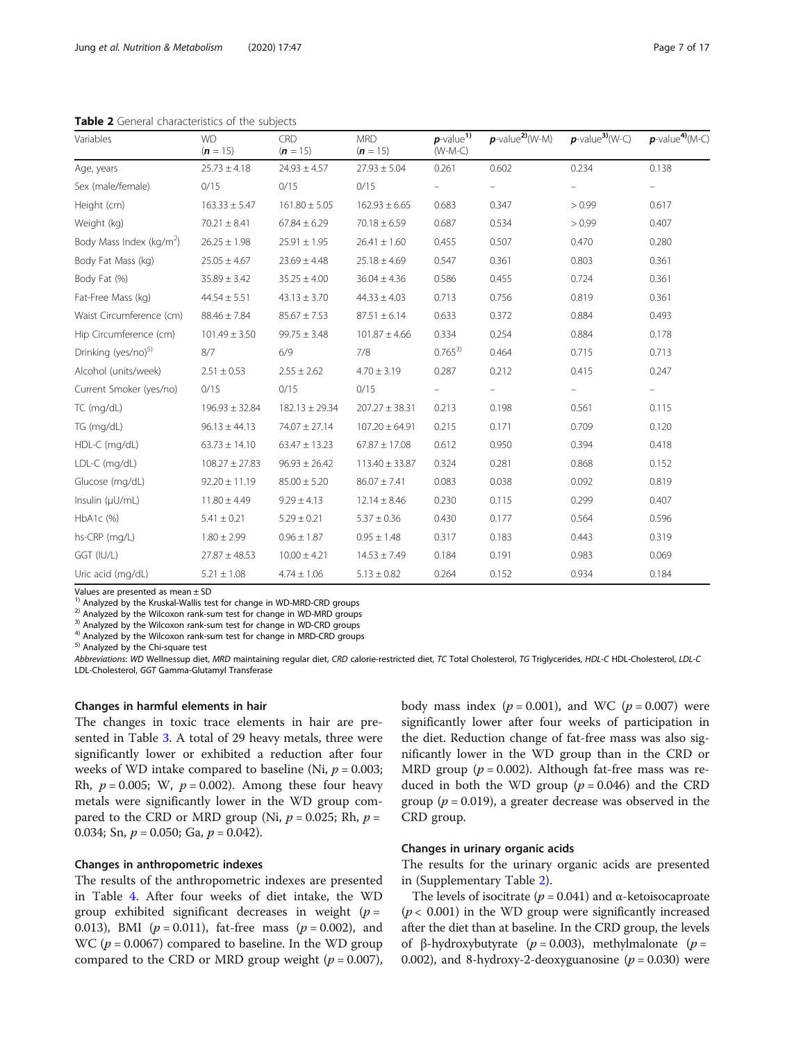<span id="page-6-0"></span>Table 2 General characteristics of the subjects

| Variables                            | <b>WD</b><br>$(n = 15)$ | CRD<br>$(n = 15)$  | <b>MRD</b><br>$(n = 15)$ | $p$ -value <sup>1)</sup><br>$(W-M-C)$ | $p$ -value <sup>2</sup> $(W-M)$ | $p$ -value <sup>3)</sup> (W-C) | $p$ -value <sup>4</sup> $(M-C)$ |
|--------------------------------------|-------------------------|--------------------|--------------------------|---------------------------------------|---------------------------------|--------------------------------|---------------------------------|
| Age, years                           | $25.73 \pm 4.18$        | $24.93 \pm 4.57$   | $27.93 \pm 5.04$         | 0.261                                 | 0.602                           | 0.234                          | 0.138                           |
| Sex (male/female)                    | 0/15                    | 0/15               | 0/15                     |                                       |                                 |                                |                                 |
| Height (cm)                          | $163.33 \pm 5.47$       | $161.80 \pm 5.05$  | $162.93 \pm 6.65$        | 0.683                                 | 0.347                           | > 0.99                         | 0.617                           |
| Weight (kg)                          | $70.21 \pm 8.41$        | $67.84 \pm 6.29$   | $70.18 \pm 6.59$         | 0.687                                 | 0.534                           | > 0.99                         | 0.407                           |
| Body Mass Index (kg/m <sup>2</sup> ) | $26.25 \pm 1.98$        | $25.91 \pm 1.95$   | $26.41 \pm 1.60$         | 0.455                                 | 0.507                           | 0.470                          | 0.280                           |
| Body Fat Mass (kg)                   | $25.05 \pm 4.67$        | $23.69 \pm 4.48$   | $25.18 \pm 4.69$         | 0.547                                 | 0.361                           | 0.803                          | 0.361                           |
| Body Fat (%)                         | $35.89 \pm 3.42$        | $35.25 \pm 4.00$   | $36.04 \pm 4.36$         | 0.586                                 | 0.455                           | 0.724                          | 0.361                           |
| Fat-Free Mass (kg)                   | $44.54 \pm 5.51$        | $43.13 \pm 3.70$   | $44.33 \pm 4.03$         | 0.713                                 | 0.756                           | 0.819                          | 0.361                           |
| Waist Circumference (cm)             | $88.46 \pm 7.84$        | $85.67 \pm 7.53$   | $87.51 \pm 6.14$         | 0.633                                 | 0.372                           | 0.884                          | 0.493                           |
| Hip Circumference (cm)               | $101.49 \pm 3.50$       | $99.75 \pm 3.48$   | $101.87 \pm 4.66$        | 0.334                                 | 0.254                           | 0.884                          | 0.178                           |
| Drinking (yes/no) <sup>5)</sup>      | 8/7                     | 6/9                | 7/8                      | $0.765^{3}$                           | 0.464                           | 0.715                          | 0.713                           |
| Alcohol (units/week)                 | $2.51 \pm 0.53$         | $2.55 \pm 2.62$    | $4.70 \pm 3.19$          | 0.287                                 | 0.212                           | 0.415                          | 0.247                           |
| Current Smoker (yes/no)              | 0/15                    | 0/15               | 0/15                     |                                       |                                 |                                | $\overline{\phantom{0}}$        |
| TC (mg/dL)                           | $196.93 \pm 32.84$      | $182.13 \pm 29.34$ | $207.27 \pm 38.31$       | 0.213                                 | 0.198                           | 0.561                          | 0.115                           |
| TG (mg/dL)                           | $96.13 \pm 44.13$       | $74.07 \pm 27.14$  | $107.20 \pm 64.91$       | 0.215                                 | 0.171                           | 0.709                          | 0.120                           |
| HDL-C (mg/dL)                        | $63.73 \pm 14.10$       | $63.47 \pm 13.23$  | $67.87 \pm 17.08$        | 0.612                                 | 0.950                           | 0.394                          | 0.418                           |
| LDL-C (mg/dL)                        | $108.27 \pm 27.83$      | $96.93 \pm 26.42$  | $113.40 \pm 33.87$       | 0.324                                 | 0.281                           | 0.868                          | 0.152                           |
| Glucose (mg/dL)                      | $92.20 \pm 11.19$       | $85.00 \pm 5.20$   | $86.07 \pm 7.41$         | 0.083                                 | 0.038                           | 0.092                          | 0.819                           |
| Insulin $(\mu U/mL)$                 | $11.80 \pm 4.49$        | $9.29 \pm 4.13$    | $12.14 \pm 8.46$         | 0.230                                 | 0.115                           | 0.299                          | 0.407                           |
| HbA1c (%)                            | $5.41 \pm 0.21$         | $5.29 \pm 0.21$    | $5.37 \pm 0.36$          | 0.430                                 | 0.177                           | 0.564                          | 0.596                           |
| hs-CRP (mg/L)                        | $1.80 \pm 2.99$         | $0.96 \pm 1.87$    | $0.95 \pm 1.48$          | 0.317                                 | 0.183                           | 0.443                          | 0.319                           |
| GGT (IU/L)                           | $27.87 \pm 48.53$       | $10.00 \pm 4.21$   | $14.53 \pm 7.49$         | 0.184                                 | 0.191                           | 0.983                          | 0.069                           |
| Uric acid (mg/dL)                    | $5.21 \pm 1.08$         | $4.74 \pm 1.06$    | $5.13 \pm 0.82$          | 0.264                                 | 0.152                           | 0.934                          | 0.184                           |

Values are presented as mean  $\pm$  SD<br><sup>1)</sup> Analyzed by the Kruskal-Wallis test for change in WD-MRD-CRD groups

<sup>2)</sup> Analyzed by the Wilcoxon rank-sum test for change in WD-MRD groups<sup>3)</sup> Analyzed by the Wilcoxon rank-sum test for change in WD-CRD groups<sup>4)</sup> Analyzed by the Wilcoxon rank-sum test for change in MRD-CRD groups<sup>5</sup>) An

Abbreviations: WD Wellnessup diet, MRD maintaining regular diet, CRD calorie-restricted diet, TC Total Cholesterol, TG Triglycerides, HDL-C HDL-Cholesterol, LDL-C LDL-Cholesterol, GGT Gamma-Glutamyl Transferase

#### Changes in harmful elements in hair

The changes in toxic trace elements in hair are presented in Table [3](#page-8-0). A total of 29 heavy metals, three were significantly lower or exhibited a reduction after four weeks of WD intake compared to baseline (Ni,  $p = 0.003$ ; Rh,  $p = 0.005$ ; W,  $p = 0.002$ ). Among these four heavy metals were significantly lower in the WD group compared to the CRD or MRD group (Ni,  $p = 0.025$ ; Rh,  $p =$ 0.034; Sn,  $p = 0.050$ ; Ga,  $p = 0.042$ ).

#### Changes in anthropometric indexes

The results of the anthropometric indexes are presented in Table [4](#page-11-0). After four weeks of diet intake, the WD group exhibited significant decreases in weight  $(p =$ 0.013), BMI ( $p = 0.011$ ), fat-free mass ( $p = 0.002$ ), and WC ( $p = 0.0067$ ) compared to baseline. In the WD group compared to the CRD or MRD group weight ( $p = 0.007$ ), body mass index  $(p = 0.001)$ , and WC  $(p = 0.007)$  were significantly lower after four weeks of participation in the diet. Reduction change of fat-free mass was also significantly lower in the WD group than in the CRD or MRD group ( $p = 0.002$ ). Although fat-free mass was reduced in both the WD group  $(p = 0.046)$  and the CRD group ( $p = 0.019$ ), a greater decrease was observed in the CRD group.

#### Changes in urinary organic acids

The results for the urinary organic acids are presented in (Supplementary Table [2\)](#page-14-0).

The levels of isocitrate ( $p = 0.041$ ) and  $\alpha$ -ketoisocaproate  $(p < 0.001)$  in the WD group were significantly increased after the diet than at baseline. In the CRD group, the levels of β-hydroxybutyrate ( $p = 0.003$ ), methylmalonate ( $p =$ 0.002), and 8-hydroxy-2-deoxyguanosine  $(p = 0.030)$  were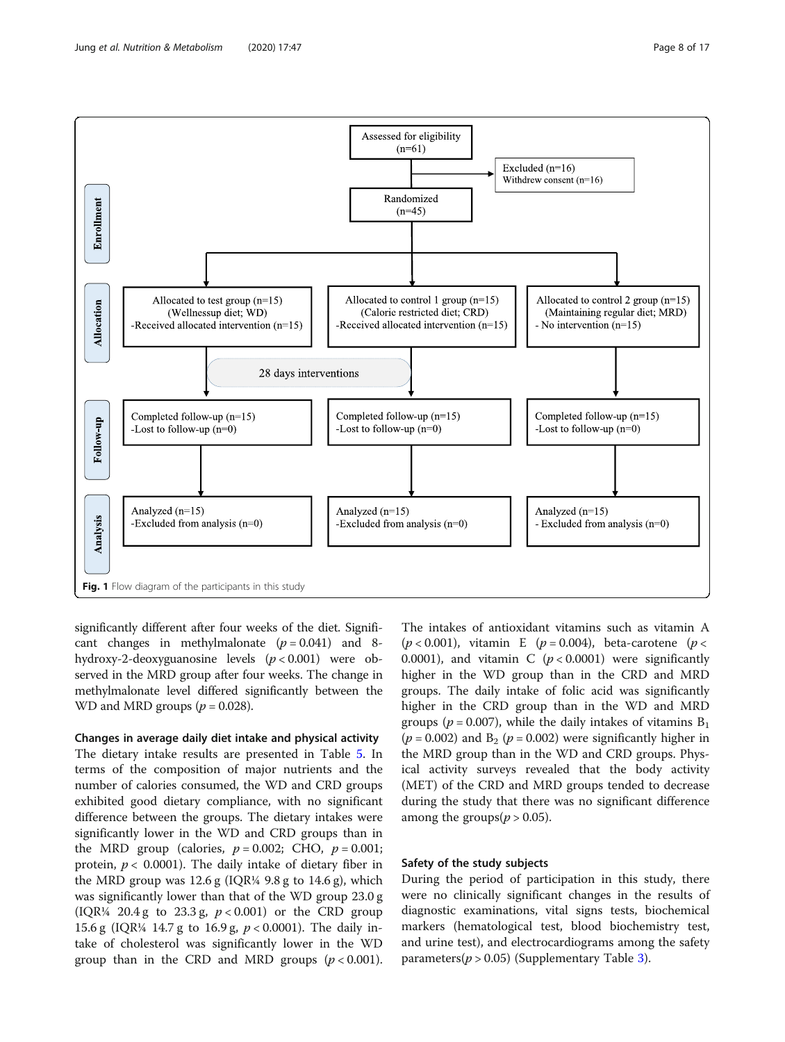<span id="page-7-0"></span>

significantly different after four weeks of the diet. Significant changes in methylmalonate  $(p = 0.041)$  and 8hydroxy-2-deoxyguanosine levels  $(p < 0.001)$  were observed in the MRD group after four weeks. The change in methylmalonate level differed significantly between the WD and MRD groups  $(p = 0.028)$ .

Changes in average daily diet intake and physical activity The dietary intake results are presented in Table [5](#page-12-0). In terms of the composition of major nutrients and the number of calories consumed, the WD and CRD groups exhibited good dietary compliance, with no significant difference between the groups. The dietary intakes were significantly lower in the WD and CRD groups than in the MRD group (calories,  $p = 0.002$ ; CHO,  $p = 0.001$ ; protein,  $p < 0.0001$ ). The daily intake of dietary fiber in the MRD group was  $12.6$  g (IQR¼ 9.8 g to  $14.6$  g), which was significantly lower than that of the WD group 23.0 g (IQR¼ 20.4 g to 23.3 g,  $p < 0.001$ ) or the CRD group 15.6 g (IQR¼ 14.7 g to 16.9 g,  $p < 0.0001$ ). The daily intake of cholesterol was significantly lower in the WD group than in the CRD and MRD groups  $(p < 0.001)$ . The intakes of antioxidant vitamins such as vitamin A  $(p < 0.001)$ , vitamin E  $(p = 0.004)$ , beta-carotene  $(p <$ 0.0001), and vitamin C  $(p < 0.0001)$  were significantly higher in the WD group than in the CRD and MRD groups. The daily intake of folic acid was significantly higher in the CRD group than in the WD and MRD groups ( $p = 0.007$ ), while the daily intakes of vitamins  $B_1$ ( $p = 0.002$ ) and B<sub>2</sub> ( $p = 0.002$ ) were significantly higher in the MRD group than in the WD and CRD groups. Physical activity surveys revealed that the body activity (MET) of the CRD and MRD groups tended to decrease during the study that there was no significant difference among the groups( $p > 0.05$ ).

#### Safety of the study subjects

During the period of participation in this study, there were no clinically significant changes in the results of diagnostic examinations, vital signs tests, biochemical markers (hematological test, blood biochemistry test, and urine test), and electrocardiograms among the safety parameters( $p > 0.05$ ) (Supplementary Table [3\)](#page-14-0).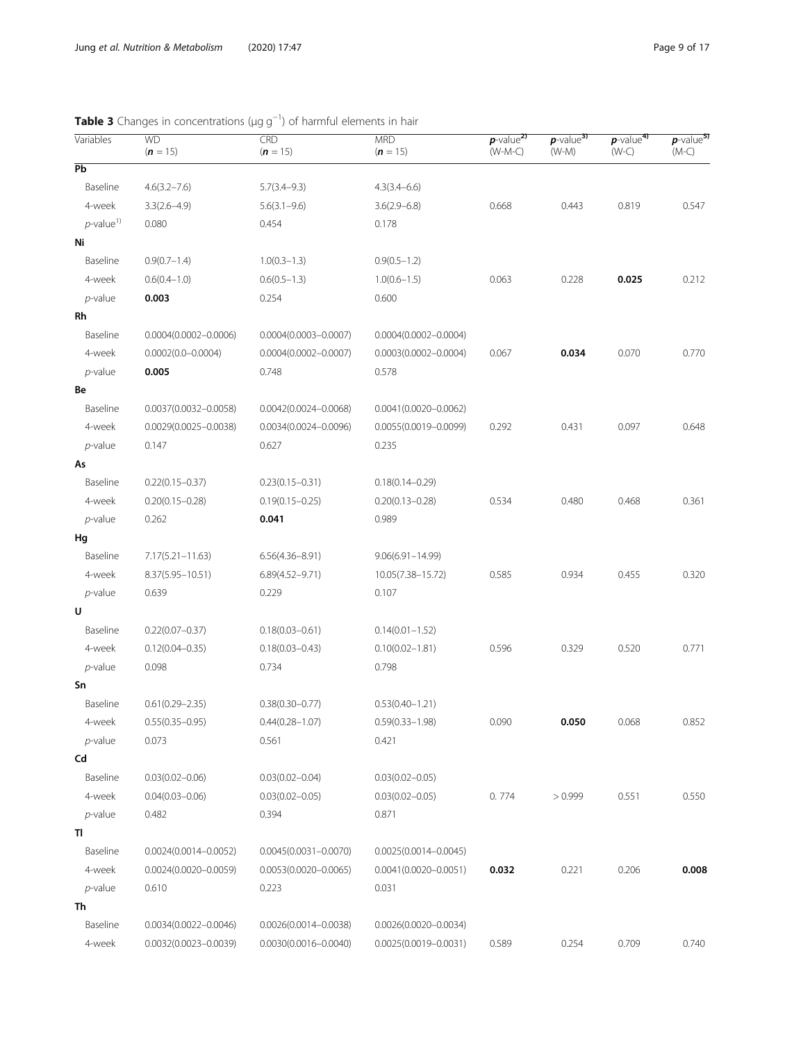| Variables                | <b>WD</b><br>$(n = 15)$   | CRD<br>$(n = 15)$         | <b>MRD</b><br>$(n = 15)$  | $p$ -value <sup>2)</sup><br>$(W-M-C)$ | $p$ -value <sup>3)</sup><br>$(W-M)$ | $p$ -value <sup>4)</sup><br>$(W-C)$ | $p$ -value <sup>5)</sup><br>$(M-C)$ |
|--------------------------|---------------------------|---------------------------|---------------------------|---------------------------------------|-------------------------------------|-------------------------------------|-------------------------------------|
| $\overline{Pb}$          |                           |                           |                           |                                       |                                     |                                     |                                     |
| Baseline                 | $4.6(3.2 - 7.6)$          | $5.7(3.4 - 9.3)$          | $4.3(3.4 - 6.6)$          |                                       |                                     |                                     |                                     |
| 4-week                   | $3.3(2.6 - 4.9)$          | $5.6(3.1 - 9.6)$          | $3.6(2.9 - 6.8)$          | 0.668                                 | 0.443                               | 0.819                               | 0.547                               |
| $p$ -value <sup>1)</sup> | 0.080                     | 0.454                     | 0.178                     |                                       |                                     |                                     |                                     |
| Ni                       |                           |                           |                           |                                       |                                     |                                     |                                     |
| Baseline                 | $0.9(0.7-1.4)$            | $1.0(0.3-1.3)$            | $0.9(0.5 - 1.2)$          |                                       |                                     |                                     |                                     |
| 4-week                   | $0.6(0.4 - 1.0)$          | $0.6(0.5-1.3)$            | $1.0(0.6 - 1.5)$          | 0.063                                 | 0.228                               | 0.025                               | 0.212                               |
| $p$ -value               | 0.003                     | 0.254                     | 0.600                     |                                       |                                     |                                     |                                     |
| Rh                       |                           |                           |                           |                                       |                                     |                                     |                                     |
| Baseline                 | $0.0004(0.0002 - 0.0006)$ | $0.0004(0.0003 - 0.0007)$ | $0.0004(0.0002 - 0.0004)$ |                                       |                                     |                                     |                                     |
| 4-week                   | $0.0002(0.0 - 0.0004)$    | $0.0004(0.0002 - 0.0007)$ | $0.0003(0.0002 - 0.0004)$ | 0.067                                 | 0.034                               | 0.070                               | 0.770                               |
| $p$ -value               | 0.005                     | 0.748                     | 0.578                     |                                       |                                     |                                     |                                     |
| Be                       |                           |                           |                           |                                       |                                     |                                     |                                     |
| Baseline                 | $0.0037(0.0032 - 0.0058)$ | $0.0042(0.0024 - 0.0068)$ | $0.0041(0.0020 - 0.0062)$ |                                       |                                     |                                     |                                     |
| 4-week                   | $0.0029(0.0025 - 0.0038)$ | $0.0034(0.0024 - 0.0096)$ | $0.0055(0.0019 - 0.0099)$ | 0.292                                 | 0.431                               | 0.097                               | 0.648                               |
| $p$ -value               | 0.147                     | 0.627                     | 0.235                     |                                       |                                     |                                     |                                     |
| As                       |                           |                           |                           |                                       |                                     |                                     |                                     |
| Baseline                 | $0.22(0.15 - 0.37)$       | $0.23(0.15 - 0.31)$       | $0.18(0.14 - 0.29)$       |                                       |                                     |                                     |                                     |
| 4-week                   | $0.20(0.15 - 0.28)$       | $0.19(0.15 - 0.25)$       | $0.20(0.13 - 0.28)$       | 0.534                                 | 0.480                               | 0.468                               | 0.361                               |
| $p$ -value               | 0.262                     | 0.041                     | 0.989                     |                                       |                                     |                                     |                                     |
| Hg                       |                           |                           |                           |                                       |                                     |                                     |                                     |
| Baseline                 | $7.17(5.21 - 11.63)$      | $6.56(4.36 - 8.91)$       | $9.06(6.91 - 14.99)$      |                                       |                                     |                                     |                                     |
| 4-week                   | 8.37(5.95-10.51)          | $6.89(4.52 - 9.71)$       | 10.05(7.38-15.72)         | 0.585                                 | 0.934                               | 0.455                               | 0.320                               |
| $p$ -value               | 0.639                     | 0.229                     | 0.107                     |                                       |                                     |                                     |                                     |
| U                        |                           |                           |                           |                                       |                                     |                                     |                                     |
| Baseline                 | $0.22(0.07 - 0.37)$       | $0.18(0.03 - 0.61)$       | $0.14(0.01 - 1.52)$       |                                       |                                     |                                     |                                     |
| 4-week                   | $0.12(0.04 - 0.35)$       | $0.18(0.03 - 0.43)$       | $0.10(0.02 - 1.81)$       | 0.596                                 | 0.329                               | 0.520                               | 0.771                               |
| $p$ -value               | 0.098                     | 0.734                     | 0.798                     |                                       |                                     |                                     |                                     |
| Sn                       |                           |                           |                           |                                       |                                     |                                     |                                     |
| Baseline                 | $0.61(0.29 - 2.35)$       | $0.38(0.30 - 0.77)$       | $0.53(0.40 - 1.21)$       |                                       |                                     |                                     |                                     |
| 4-week                   | $0.55(0.35 - 0.95)$       | $0.44(0.28 - 1.07)$       | $0.59(0.33 - 1.98)$       | 0.090                                 | 0.050                               | 0.068                               | 0.852                               |
| $p$ -value               | 0.073                     | 0.561                     | 0.421                     |                                       |                                     |                                     |                                     |
| Cd                       |                           |                           |                           |                                       |                                     |                                     |                                     |
| Baseline                 | $0.03(0.02 - 0.06)$       | $0.03(0.02 - 0.04)$       | $0.03(0.02 - 0.05)$       |                                       |                                     |                                     |                                     |
| 4-week                   | $0.04(0.03 - 0.06)$       | $0.03(0.02 - 0.05)$       | $0.03(0.02 - 0.05)$       | 0.774                                 | >0.999                              | 0.551                               | 0.550                               |
| $p$ -value               | 0.482                     | 0.394                     | 0.871                     |                                       |                                     |                                     |                                     |
| ΤI                       |                           |                           |                           |                                       |                                     |                                     |                                     |
| Baseline                 | $0.0024(0.0014 - 0.0052)$ | $0.0045(0.0031 - 0.0070)$ | $0.0025(0.0014 - 0.0045)$ |                                       |                                     |                                     |                                     |
| 4-week                   | $0.0024(0.0020 - 0.0059)$ | $0.0053(0.0020 - 0.0065)$ | $0.0041(0.0020 - 0.0051)$ | 0.032                                 | 0.221                               | 0.206                               | 0.008                               |
| $p$ -value               | 0.610                     | 0.223                     | 0.031                     |                                       |                                     |                                     |                                     |
| Th                       |                           |                           |                           |                                       |                                     |                                     |                                     |
| Baseline                 | $0.0034(0.0022 - 0.0046)$ | $0.0026(0.0014 - 0.0038)$ | $0.0026(0.0020 - 0.0034)$ |                                       |                                     |                                     |                                     |
| 4-week                   | 0.0032(0.0023-0.0039)     | $0.0030(0.0016 - 0.0040)$ | $0.0025(0.0019 - 0.0031)$ | 0.589                                 | 0.254                               | 0.709                               | 0.740                               |

### <span id="page-8-0"></span>Table 3 Changes in concentrations (μg g<sup>-1</sup>) of harmful elements in hair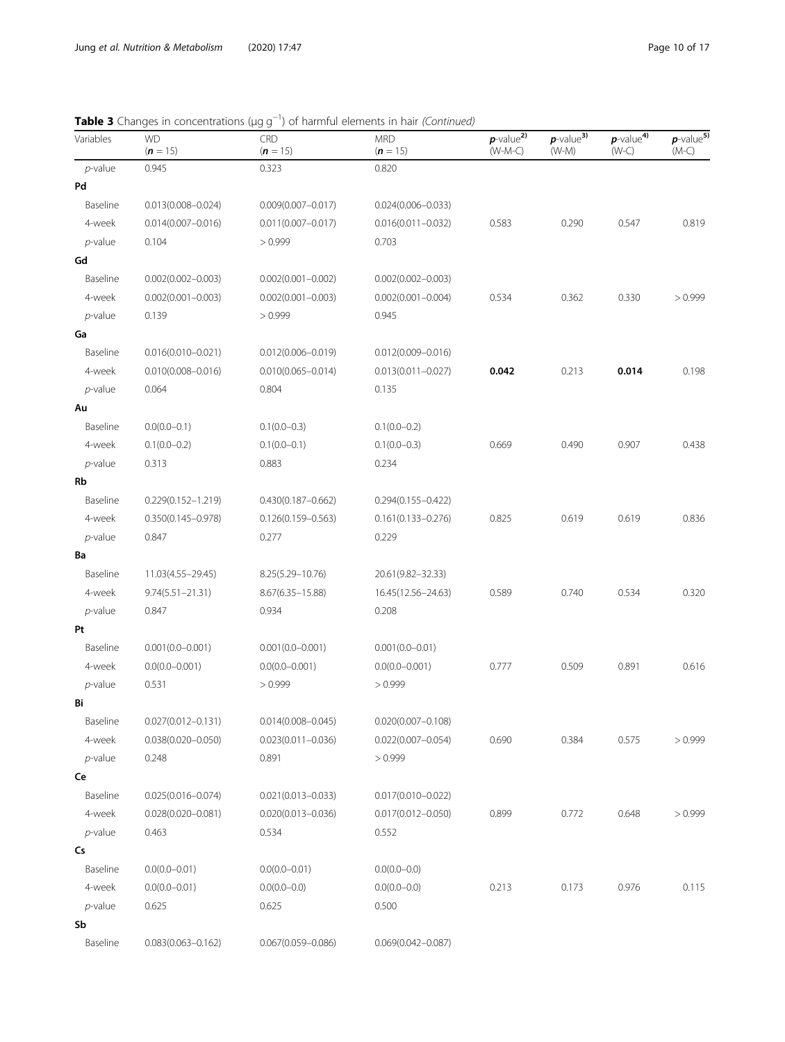### Table 3 Changes in concentrations (µg g<sup>-1</sup>) of harmful elements in hair *(Continued)*

| Variables  | <b>WD</b><br>$(n = 15)$ | N J J<br>CRD<br>$(n = 15)$ | <b>MRD</b><br>$(n = 15)$ | $p$ -value <sup>2)</sup><br>$(W-M-C)$ | $p$ -value <sup>3)</sup><br>$(W-M)$ | $p$ -value <sup>4)</sup><br>$(W-C)$ | $p$ -value <sup>5)</sup><br>$(M-C)$ |
|------------|-------------------------|----------------------------|--------------------------|---------------------------------------|-------------------------------------|-------------------------------------|-------------------------------------|
| $p$ -value | 0.945                   | 0.323                      | 0.820                    |                                       |                                     |                                     |                                     |
| Pd         |                         |                            |                          |                                       |                                     |                                     |                                     |
| Baseline   | $0.013(0.008 - 0.024)$  | $0.009(0.007 - 0.017)$     | $0.024(0.006 - 0.033)$   |                                       |                                     |                                     |                                     |
| 4-week     | $0.014(0.007 - 0.016)$  | $0.011(0.007 - 0.017)$     | $0.016(0.011 - 0.032)$   | 0.583                                 | 0.290                               | 0.547                               | 0.819                               |
| $p$ -value | 0.104                   | > 0.999                    | 0.703                    |                                       |                                     |                                     |                                     |
| Gd         |                         |                            |                          |                                       |                                     |                                     |                                     |
| Baseline   | $0.002(0.002 - 0.003)$  | $0.002(0.001 - 0.002)$     | $0.002(0.002 - 0.003)$   |                                       |                                     |                                     |                                     |
| 4-week     | $0.002(0.001 - 0.003)$  | $0.002(0.001 - 0.003)$     | $0.002(0.001 - 0.004)$   | 0.534                                 | 0.362                               | 0.330                               | > 0.999                             |
| $p$ -value | 0.139                   | > 0.999                    | 0.945                    |                                       |                                     |                                     |                                     |
| Ga         |                         |                            |                          |                                       |                                     |                                     |                                     |
| Baseline   | $0.016(0.010 - 0.021)$  | $0.012(0.006 - 0.019)$     | $0.012(0.009 - 0.016)$   |                                       |                                     |                                     |                                     |
| 4-week     | $0.010(0.008 - 0.016)$  | $0.010(0.065 - 0.014)$     | $0.013(0.011 - 0.027)$   | 0.042                                 | 0.213                               | 0.014                               | 0.198                               |
| $p$ -value | 0.064                   | 0.804                      | 0.135                    |                                       |                                     |                                     |                                     |
| Au         |                         |                            |                          |                                       |                                     |                                     |                                     |
| Baseline   | $0.0(0.0-0.1)$          | $0.1(0.0-0.3)$             | $0.1(0.0-0.2)$           |                                       |                                     |                                     |                                     |
| 4-week     | $0.1(0.0 - 0.2)$        | $0.1(0.0-0.1)$             | $0.1(0.0-0.3)$           | 0.669                                 | 0.490                               | 0.907                               | 0.438                               |
| $p$ -value | 0.313                   | 0.883                      | 0.234                    |                                       |                                     |                                     |                                     |
| Rb         |                         |                            |                          |                                       |                                     |                                     |                                     |
| Baseline   | $0.229(0.152 - 1.219)$  | $0.430(0.187 - 0.662)$     | $0.294(0.155 - 0.422)$   |                                       |                                     |                                     |                                     |
| 4-week     | $0.350(0.145 - 0.978)$  | $0.126(0.159 - 0.563)$     | $0.161(0.133 - 0.276)$   | 0.825                                 | 0.619                               | 0.619                               | 0.836                               |
| $p$ -value | 0.847                   | 0.277                      | 0.229                    |                                       |                                     |                                     |                                     |
| Ba         |                         |                            |                          |                                       |                                     |                                     |                                     |
| Baseline   | 11.03(4.55-29.45)       | 8.25(5.29-10.76)           | 20.61(9.82-32.33)        |                                       |                                     |                                     |                                     |
| 4-week     | $9.74(5.51 - 21.31)$    | $8.67(6.35 - 15.88)$       | 16.45(12.56–24.63)       | 0.589                                 | 0.740                               | 0.534                               | 0.320                               |
| $p$ -value | 0.847                   | 0.934                      | 0.208                    |                                       |                                     |                                     |                                     |
| Pt         |                         |                            |                          |                                       |                                     |                                     |                                     |
| Baseline   | $0.001(0.0 - 0.001)$    | $0.001(0.0 - 0.001)$       | $0.001(0.0 - 0.01)$      |                                       |                                     |                                     |                                     |
| 4-week     | $0.0(0.0 - 0.001)$      | $0.0(0.0 - 0.001)$         | $0.0(0.0 - 0.001)$       | 0.777                                 | 0.509                               | 0.891                               | 0.616                               |
| $p$ -value | 0.531                   | > 0.999                    | > 0.999                  |                                       |                                     |                                     |                                     |
| Bi         |                         |                            |                          |                                       |                                     |                                     |                                     |
| Baseline   | $0.027(0.012 - 0.131)$  | $0.014(0.008 - 0.045)$     | $0.020(0.007 - 0.108)$   |                                       |                                     |                                     |                                     |
| 4-week     | $0.038(0.020 - 0.050)$  | $0.023(0.011 - 0.036)$     | $0.022(0.007 - 0.054)$   | 0.690                                 | 0.384                               | 0.575                               | > 0.999                             |
| $p$ -value | 0.248                   | 0.891                      | > 0.999                  |                                       |                                     |                                     |                                     |
| Ce         |                         |                            |                          |                                       |                                     |                                     |                                     |
| Baseline   | $0.025(0.016 - 0.074)$  | $0.021(0.013 - 0.033)$     | $0.017(0.010 - 0.022)$   |                                       |                                     |                                     |                                     |
| 4-week     | $0.028(0.020 - 0.081)$  | $0.020(0.013 - 0.036)$     | $0.017(0.012 - 0.050)$   | 0.899                                 | 0.772                               | 0.648                               | >0.999                              |
| $p$ -value | 0.463                   | 0.534                      | 0.552                    |                                       |                                     |                                     |                                     |
| Cs         |                         |                            |                          |                                       |                                     |                                     |                                     |
| Baseline   | $0.0(0.0 - 0.01)$       | $0.0(0.0 - 0.01)$          | $0.0(0.0-0.0)$           |                                       |                                     |                                     |                                     |
| 4-week     | $0.0(0.0 - 0.01)$       | $0.0(0.0-0.0)$             | $0.0(0.0-0.0)$           | 0.213                                 | 0.173                               | 0.976                               | 0.115                               |
| $p$ -value | 0.625                   | 0.625                      | 0.500                    |                                       |                                     |                                     |                                     |
| Sb         |                         |                            |                          |                                       |                                     |                                     |                                     |
| Baseline   | $0.083(0.063 - 0.162)$  | $0.067(0.059 - 0.086)$     | $0.069(0.042 - 0.087)$   |                                       |                                     |                                     |                                     |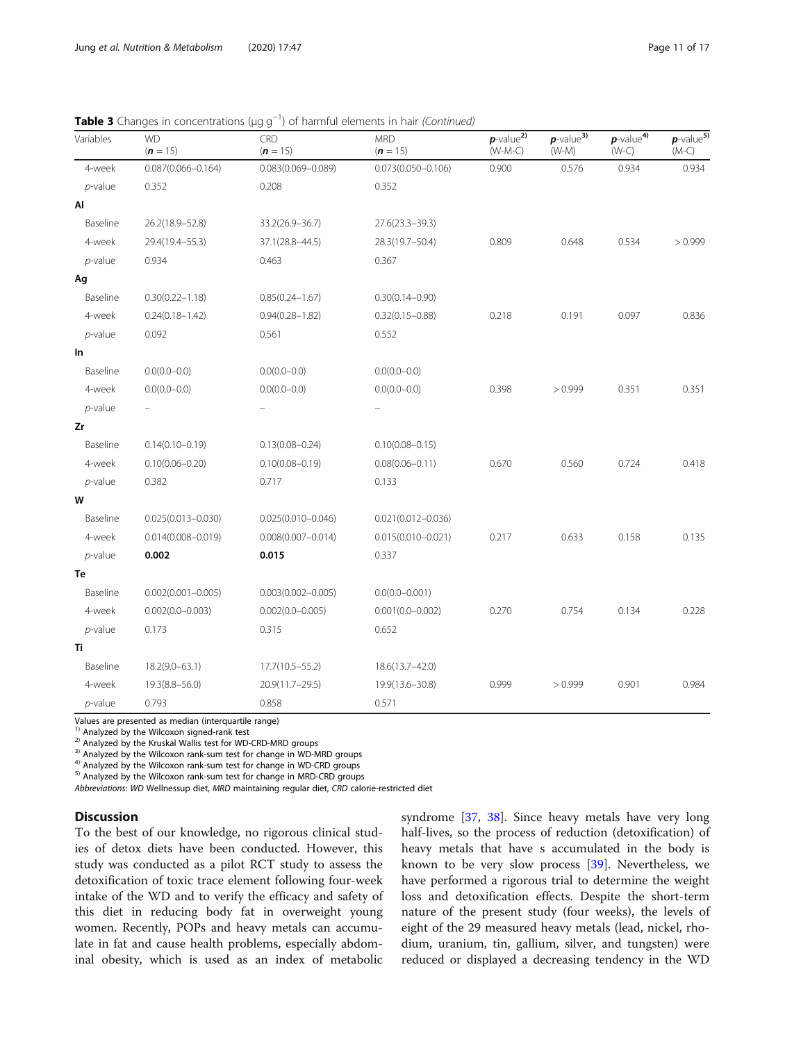| <b>Table 3</b> Changes in concentrations ( $\mu$ g g <sup>-1</sup> ) of harmful elements in hair (Continued) |  |
|--------------------------------------------------------------------------------------------------------------|--|
|--------------------------------------------------------------------------------------------------------------|--|

| Variables  | <b>WD</b><br>$(n = 15)$ | <b>CRD</b><br>$(n = 15)$ | <b>MRD</b><br>$(n = 15)$ | $p$ -value $\overline{p}$<br>$(W-M-C)$ | $p$ -value <sup>3)</sup><br>$(W-M)$ | $p$ -value <sup>4)</sup><br>$(W-C)$ | $p$ -value <sup>5)</sup><br>$(M-C)$ |
|------------|-------------------------|--------------------------|--------------------------|----------------------------------------|-------------------------------------|-------------------------------------|-------------------------------------|
| 4-week     | $0.087(0.066 - 0.164)$  | $0.083(0.069 - 0.089)$   | $0.073(0.050 - 0.106)$   | 0.900                                  | 0.576                               | 0.934                               | 0.934                               |
| $p$ -value | 0.352                   | 0.208                    | 0.352                    |                                        |                                     |                                     |                                     |
| Al         |                         |                          |                          |                                        |                                     |                                     |                                     |
| Baseline   | 26.2(18.9-52.8)         | 33.2(26.9-36.7)          | $27.6(23.3 - 39.3)$      |                                        |                                     |                                     |                                     |
| 4-week     | 29.4(19.4-55.3)         | 37.1(28.8-44.5)          | 28.3(19.7-50.4)          | 0.809                                  | 0.648                               | 0.534                               | > 0.999                             |
| $p$ -value | 0.934                   | 0.463                    | 0.367                    |                                        |                                     |                                     |                                     |
| Ag         |                         |                          |                          |                                        |                                     |                                     |                                     |
| Baseline   | $0.30(0.22 - 1.18)$     | $0.85(0.24 - 1.67)$      | $0.30(0.14 - 0.90)$      |                                        |                                     |                                     |                                     |
| 4-week     | $0.24(0.18 - 1.42)$     | $0.94(0.28 - 1.82)$      | $0.32(0.15 - 0.88)$      | 0.218                                  | 0.191                               | 0.097                               | 0.836                               |
| $p$ -value | 0.092                   | 0.561                    | 0.552                    |                                        |                                     |                                     |                                     |
| In         |                         |                          |                          |                                        |                                     |                                     |                                     |
| Baseline   | $0.0(0.0-0.0)$          | $0.0(0.0-0.0)$           | $0.0(0.0-0.0)$           |                                        |                                     |                                     |                                     |
| 4-week     | $0.0(0.0-0.0)$          | $0.0(0.0-0.0)$           | $0.0(0.0 - 0.0)$         | 0.398                                  | >0.999                              | 0.351                               | 0.351                               |
| $p$ -value |                         |                          |                          |                                        |                                     |                                     |                                     |
| Zr         |                         |                          |                          |                                        |                                     |                                     |                                     |
| Baseline   | $0.14(0.10 - 0.19)$     | $0.13(0.08 - 0.24)$      | $0.10(0.08 - 0.15)$      |                                        |                                     |                                     |                                     |
| 4-week     | $0.10(0.06 - 0.20)$     | $0.10(0.08 - 0.19)$      | $0.08(0.06 - 0.11)$      | 0.670                                  | 0.560                               | 0.724                               | 0.418                               |
| $p$ -value | 0.382                   | 0.717                    | 0.133                    |                                        |                                     |                                     |                                     |
| W          |                         |                          |                          |                                        |                                     |                                     |                                     |
| Baseline   | $0.025(0.013 - 0.030)$  | $0.025(0.010 - 0.046)$   | $0.021(0.012 - 0.036)$   |                                        |                                     |                                     |                                     |
| 4-week     | $0.014(0.008 - 0.019)$  | $0.008(0.007 - 0.014)$   | $0.015(0.010 - 0.021)$   | 0.217                                  | 0.633                               | 0.158                               | 0.135                               |
| $p$ -value | 0.002                   | 0.015                    | 0.337                    |                                        |                                     |                                     |                                     |
| Te         |                         |                          |                          |                                        |                                     |                                     |                                     |
| Baseline   | $0.002(0.001 - 0.005)$  | $0.003(0.002 - 0.005)$   | $0.0(0.0 - 0.001)$       |                                        |                                     |                                     |                                     |
| 4-week     | $0.002(0.0 - 0.003)$    | $0.002(0.0 - 0.005)$     | $0.001(0.0 - 0.002)$     | 0.270                                  | 0.754                               | 0.134                               | 0.228                               |
| $p$ -value | 0.173                   | 0.315                    | 0.652                    |                                        |                                     |                                     |                                     |
| Τi         |                         |                          |                          |                                        |                                     |                                     |                                     |
| Baseline   | $18.2(9.0 - 63.1)$      | $17.7(10.5 - 55.2)$      | 18.6(13.7-42.0)          |                                        |                                     |                                     |                                     |
| 4-week     | $19.3(8.8 - 56.0)$      | 20.9(11.7-29.5)          | 19.9(13.6-30.8)          | 0.999                                  | > 0.999                             | 0.901                               | 0.984                               |
| $p$ -value | 0.793                   | 0.858                    | 0.571                    |                                        |                                     |                                     |                                     |

Values are presented as median (interquartile range)<sup>1)</sup> Analyzed by the Wilcoxon signed-rank test

<sup>2)</sup> Analyzed by the Kruskal Wallis test for WD-CRD-MRD groups<br><sup>3)</sup> Analyzed by the Wilcoxon rank-sum test for change in WD-MRD groups<br><sup>4)</sup> Analyzed by the Wilcoxon rank-sum test for change in WD-CRD groups<br><sup>5)</sup> Analyzed

Abbreviations: WD Wellnessup diet, MRD maintaining regular diet, CRD calorie-restricted diet

#### **Discussion**

To the best of our knowledge, no rigorous clinical studies of detox diets have been conducted. However, this study was conducted as a pilot RCT study to assess the detoxification of toxic trace element following four-week intake of the WD and to verify the efficacy and safety of this diet in reducing body fat in overweight young women. Recently, POPs and heavy metals can accumulate in fat and cause health problems, especially abdominal obesity, which is used as an index of metabolic syndrome [[37,](#page-15-0) [38\]](#page-15-0). Since heavy metals have very long half-lives, so the process of reduction (detoxification) of heavy metals that have s accumulated in the body is known to be very slow process [\[39](#page-15-0)]. Nevertheless, we have performed a rigorous trial to determine the weight loss and detoxification effects. Despite the short-term nature of the present study (four weeks), the levels of eight of the 29 measured heavy metals (lead, nickel, rhodium, uranium, tin, gallium, silver, and tungsten) were reduced or displayed a decreasing tendency in the WD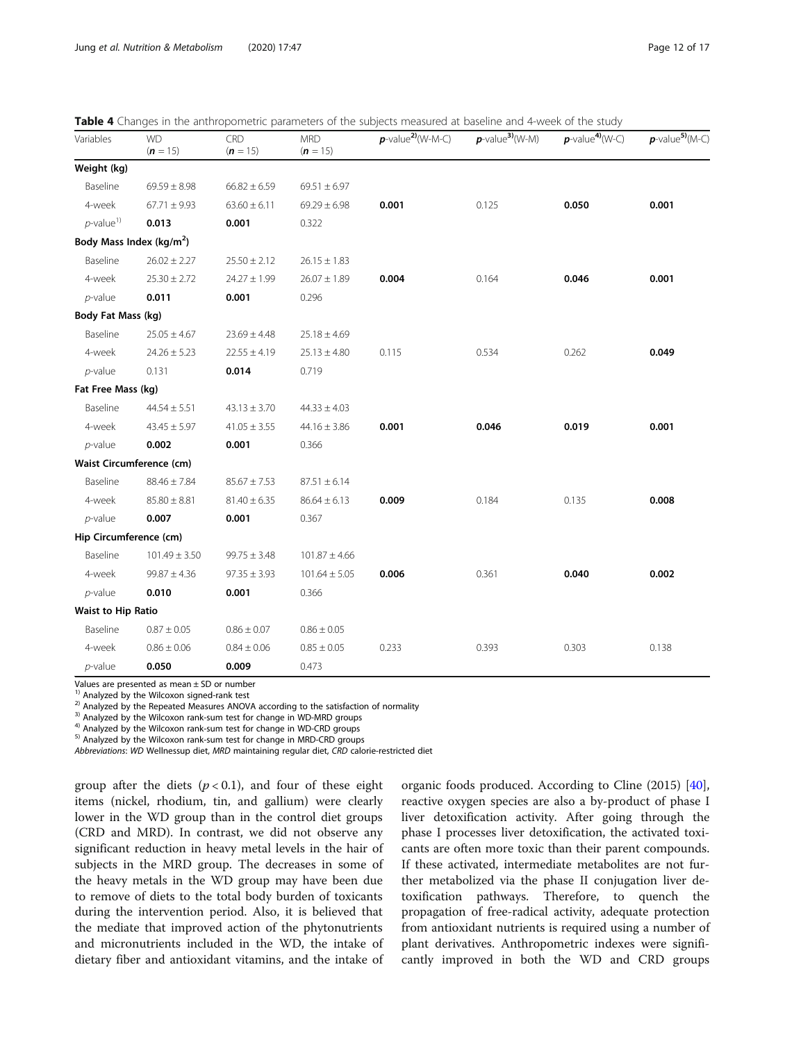| Variables                | <b>WD</b><br>$(n = 15)$              | CRD<br>$(n = 15)$ | <b>MRD</b><br>$(n = 15)$ | $p$ -value <sup>2)</sup> (W-M-C) | $p$ -value <sup>3</sup> $(W-M)$ | $p$ -value <sup>4)</sup> (W-C) | $p$ -value <sup>5)</sup> (M-C) |
|--------------------------|--------------------------------------|-------------------|--------------------------|----------------------------------|---------------------------------|--------------------------------|--------------------------------|
| Weight (kg)              |                                      |                   |                          |                                  |                                 |                                |                                |
| Baseline                 | $69.59 \pm 8.98$                     | $66.82 \pm 6.59$  | $69.51 \pm 6.97$         |                                  |                                 |                                |                                |
| 4-week                   | $67.71 \pm 9.93$                     | $63.60 \pm 6.11$  | $69.29 \pm 6.98$         | 0.001                            | 0.125                           | 0.050                          | 0.001                          |
| $p$ -value <sup>1)</sup> | 0.013                                | 0.001             | 0.322                    |                                  |                                 |                                |                                |
|                          | Body Mass Index (kg/m <sup>2</sup> ) |                   |                          |                                  |                                 |                                |                                |
| Baseline                 | $26.02 \pm 2.27$                     | $25.50 \pm 2.12$  | $26.15 \pm 1.83$         |                                  |                                 |                                |                                |
| 4-week                   | $25.30 \pm 2.72$                     | $24.27 \pm 1.99$  | $26.07 \pm 1.89$         | 0.004                            | 0.164                           | 0.046                          | 0.001                          |
| $p$ -value               | 0.011                                | 0.001             | 0.296                    |                                  |                                 |                                |                                |
| Body Fat Mass (kg)       |                                      |                   |                          |                                  |                                 |                                |                                |
| Baseline                 | $25.05 \pm 4.67$                     | $23.69 \pm 4.48$  | $25.18 \pm 4.69$         |                                  |                                 |                                |                                |
| 4-week                   | $24.26 \pm 5.23$                     | $22.55 \pm 4.19$  | $25.13 \pm 4.80$         | 0.115                            | 0.534                           | 0.262                          | 0.049                          |
| $p$ -value               | 0.131                                | 0.014             | 0.719                    |                                  |                                 |                                |                                |
| Fat Free Mass (kg)       |                                      |                   |                          |                                  |                                 |                                |                                |
| Baseline                 | $44.54 \pm 5.51$                     | $43.13 \pm 3.70$  | $44.33 \pm 4.03$         |                                  |                                 |                                |                                |
| 4-week                   | $43.45 \pm 5.97$                     | $41.05 \pm 3.55$  | $44.16 \pm 3.86$         | 0.001                            | 0.046                           | 0.019                          | 0.001                          |
| $p$ -value               | 0.002                                | 0.001             | 0.366                    |                                  |                                 |                                |                                |
|                          | <b>Waist Circumference (cm)</b>      |                   |                          |                                  |                                 |                                |                                |
| Baseline                 | $88.46 \pm 7.84$                     | $85.67 \pm 7.53$  | $87.51 \pm 6.14$         |                                  |                                 |                                |                                |
| 4-week                   | $85.80 \pm 8.81$                     | $81.40 \pm 6.35$  | $86.64 \pm 6.13$         | 0.009                            | 0.184                           | 0.135                          | 0.008                          |
| $p$ -value               | 0.007                                | 0.001             | 0.367                    |                                  |                                 |                                |                                |
| Hip Circumference (cm)   |                                      |                   |                          |                                  |                                 |                                |                                |
| Baseline                 | $101.49 \pm 3.50$                    | $99.75 \pm 3.48$  | $101.87 \pm 4.66$        |                                  |                                 |                                |                                |
| 4-week                   | $99.87 \pm 4.36$                     | $97.35 \pm 3.93$  | $101.64 \pm 5.05$        | 0.006                            | 0.361                           | 0.040                          | 0.002                          |
| $p$ -value               | 0.010                                | 0.001             | 0.366                    |                                  |                                 |                                |                                |
| Waist to Hip Ratio       |                                      |                   |                          |                                  |                                 |                                |                                |
| Baseline                 | $0.87 \pm 0.05$                      | $0.86 \pm 0.07$   | $0.86 \pm 0.05$          |                                  |                                 |                                |                                |
| 4-week                   | $0.86 \pm 0.06$                      | $0.84 \pm 0.06$   | $0.85 \pm 0.05$          | 0.233                            | 0.393                           | 0.303                          | 0.138                          |
| p-value                  | 0.050                                | 0.009             | 0.473                    |                                  |                                 |                                |                                |

<span id="page-11-0"></span>

Values are presented as mean  $\pm$  SD or number<sup>1)</sup> Analyzed by the Wilcoxon signed-rank test

<sup>2)</sup> Analyzed by the Repeated Measures ANOVA according to the satisfaction of normality <sup>3)</sup> Analyzed by the Wilcoxon rank-sum test for change in WD-MRD groups <sup>4)</sup> Analyzed by the Wilcoxon rank-sum test for change in WD-

Abbreviations: WD Wellnessup diet, MRD maintaining regular diet, CRD calorie-restricted diet

group after the diets  $(p < 0.1)$ , and four of these eight items (nickel, rhodium, tin, and gallium) were clearly lower in the WD group than in the control diet groups (CRD and MRD). In contrast, we did not observe any significant reduction in heavy metal levels in the hair of subjects in the MRD group. The decreases in some of the heavy metals in the WD group may have been due to remove of diets to the total body burden of toxicants during the intervention period. Also, it is believed that the mediate that improved action of the phytonutrients and micronutrients included in the WD, the intake of dietary fiber and antioxidant vitamins, and the intake of

organic foods produced. According to Cline (2015) [\[40](#page-15-0)], reactive oxygen species are also a by-product of phase I liver detoxification activity. After going through the phase I processes liver detoxification, the activated toxicants are often more toxic than their parent compounds. If these activated, intermediate metabolites are not further metabolized via the phase II conjugation liver detoxification pathways. Therefore, to quench the propagation of free-radical activity, adequate protection from antioxidant nutrients is required using a number of plant derivatives. Anthropometric indexes were significantly improved in both the WD and CRD groups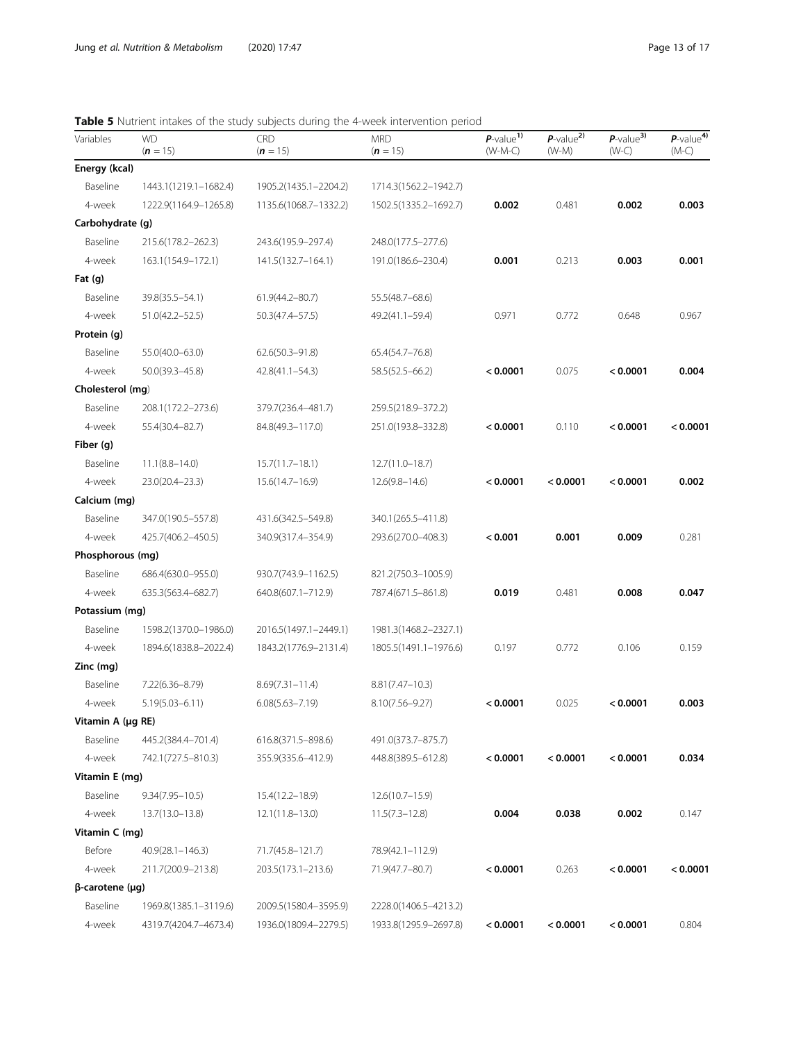### <span id="page-12-0"></span>Table 5 Nutrient intakes of the study subjects during the 4-week intervention period

| Variables              | <b>WD</b><br>$(n = 15)$ | <b>CRD</b><br>$(n = 15)$ | <b>MRD</b><br>$(n = 15)$ | $P$ -value <sup>1)</sup><br>$(W-M-C)$ | $P$ -value <sup>2)</sup><br>$(W-M)$ | $P$ -value <sup>3)</sup><br>$(W-C)$ | $P$ -value <sup>4)</sup><br>$(M-C)$ |
|------------------------|-------------------------|--------------------------|--------------------------|---------------------------------------|-------------------------------------|-------------------------------------|-------------------------------------|
| Energy (kcal)          |                         |                          |                          |                                       |                                     |                                     |                                     |
| Baseline               | 1443.1(1219.1-1682.4)   | 1905.2(1435.1-2204.2)    | 1714.3(1562.2-1942.7)    |                                       |                                     |                                     |                                     |
| 4-week                 | 1222.9(1164.9-1265.8)   | 1135.6(1068.7-1332.2)    | 1502.5(1335.2-1692.7)    | 0.002                                 | 0.481                               | 0.002                               | 0.003                               |
| Carbohydrate (g)       |                         |                          |                          |                                       |                                     |                                     |                                     |
| Baseline               | 215.6(178.2-262.3)      | 243.6(195.9-297.4)       | 248.0(177.5-277.6)       |                                       |                                     |                                     |                                     |
| 4-week                 | 163.1(154.9-172.1)      | 141.5(132.7-164.1)       | 191.0(186.6-230.4)       | 0.001                                 | 0.213                               | 0.003                               | 0.001                               |
| Fat $(g)$              |                         |                          |                          |                                       |                                     |                                     |                                     |
| Baseline               | 39.8(35.5-54.1)         | 61.9(44.2-80.7)          | 55.5(48.7-68.6)          |                                       |                                     |                                     |                                     |
| 4-week                 | 51.0(42.2–52.5)         | 50.3(47.4–57.5)          | 49.2(41.1–59.4)          | 0.971                                 | 0.772                               | 0.648                               | 0.967                               |
| Protein (g)            |                         |                          |                          |                                       |                                     |                                     |                                     |
| Baseline               | 55.0(40.0-63.0)         | $62.6(50.3 - 91.8)$      | 65.4(54.7-76.8)          |                                       |                                     |                                     |                                     |
| 4-week                 | $50.0(39.3 - 45.8)$     | $42.8(41.1 - 54.3)$      | 58.5(52.5-66.2)          | < 0.0001                              | 0.075                               | < 0.0001                            | 0.004                               |
| Cholesterol (mg)       |                         |                          |                          |                                       |                                     |                                     |                                     |
| Baseline               | 208.1(172.2-273.6)      | 379.7(236.4-481.7)       | 259.5(218.9-372.2)       |                                       |                                     |                                     |                                     |
| 4-week                 | 55.4(30.4-82.7)         | 84.8(49.3-117.0)         | 251.0(193.8–332.8)       | < 0.0001                              | 0.110                               | < 0.0001                            | < 0.0001                            |
| Fiber (q)              |                         |                          |                          |                                       |                                     |                                     |                                     |
| Baseline               | $11.1(8.8 - 14.0)$      | $15.7(11.7 - 18.1)$      | $12.7(11.0 - 18.7)$      |                                       |                                     |                                     |                                     |
| 4-week                 | 23.0(20.4-23.3)         | $15.6(14.7 - 16.9)$      | $12.6(9.8 - 14.6)$       | < 0.0001                              | < 0.0001                            | < 0.0001                            | 0.002                               |
| Calcium (mg)           |                         |                          |                          |                                       |                                     |                                     |                                     |
| Baseline               | 347.0(190.5-557.8)      | 431.6(342.5-549.8)       | 340.1(265.5-411.8)       |                                       |                                     |                                     |                                     |
| 4-week                 | 425.7(406.2-450.5)      | 340.9(317.4-354.9)       | 293.6(270.0-408.3)       | < 0.001                               | 0.001                               | 0.009                               | 0.281                               |
| Phosphorous (mg)       |                         |                          |                          |                                       |                                     |                                     |                                     |
| Baseline               | 686.4(630.0-955.0)      | 930.7(743.9-1162.5)      | 821.2(750.3-1005.9)      |                                       |                                     |                                     |                                     |
| 4-week                 | 635.3(563.4-682.7)      | 640.8(607.1-712.9)       | 787.4(671.5-861.8)       | 0.019                                 | 0.481                               | 0.008                               | 0.047                               |
| Potassium (mg)         |                         |                          |                          |                                       |                                     |                                     |                                     |
| Baseline               | 1598.2(1370.0-1986.0)   | 2016.5(1497.1-2449.1)    | 1981.3(1468.2-2327.1)    |                                       |                                     |                                     |                                     |
| 4-week                 | 1894.6(1838.8-2022.4)   | 1843.2(1776.9-2131.4)    | 1805.5(1491.1-1976.6)    | 0.197                                 | 0.772                               | 0.106                               | 0.159                               |
| Zinc (mg)              |                         |                          |                          |                                       |                                     |                                     |                                     |
| Baseline               | 7.22(6.36-8.79)         | $8.69(7.31 - 11.4)$      | $8.81(7.47 - 10.3)$      |                                       |                                     |                                     |                                     |
| 4-week                 | $5.19(5.03 - 6.11)$     | $6.08(5.63 - 7.19)$      | $8.10(7.56 - 9.27)$      | < 0.0001                              | 0.025                               | < 0.0001                            | 0.003                               |
| Vitamin A (µg RE)      |                         |                          |                          |                                       |                                     |                                     |                                     |
| Baseline               | 445.2(384.4-701.4)      | 616.8(371.5-898.6)       | 491.0(373.7-875.7)       |                                       |                                     |                                     |                                     |
| 4-week                 | 742.1(727.5-810.3)      | 355.9(335.6-412.9)       | 448.8(389.5-612.8)       | < 0.0001                              | < 0.0001                            | < 0.0001                            | 0.034                               |
| Vitamin E (mg)         |                         |                          |                          |                                       |                                     |                                     |                                     |
| Baseline               | $9.34(7.95 - 10.5)$     | 15.4(12.2-18.9)          | $12.6(10.7 - 15.9)$      |                                       |                                     |                                     |                                     |
| 4-week                 | 13.7(13.0–13.8)         | $12.1(11.8 - 13.0)$      | $11.5(7.3 - 12.8)$       | 0.004                                 | 0.038                               | 0.002                               | 0.147                               |
| Vitamin C (mg)         |                         |                          |                          |                                       |                                     |                                     |                                     |
| Before                 | 40.9(28.1-146.3)        | 71.7(45.8-121.7)         | 78.9(42.1-112.9)         |                                       |                                     |                                     |                                     |
| 4-week                 | 211.7(200.9-213.8)      | 203.5(173.1-213.6)       | 71.9(47.7-80.7)          | < 0.0001                              | 0.263                               | < 0.0001                            | < 0.0001                            |
| $\beta$ -carotene (µg) |                         |                          |                          |                                       |                                     |                                     |                                     |
| Baseline               | 1969.8(1385.1-3119.6)   | 2009.5(1580.4-3595.9)    | 2228.0(1406.5-4213.2)    |                                       |                                     |                                     |                                     |
| 4-week                 | 4319.7(4204.7-4673.4)   | 1936.0(1809.4-2279.5)    | 1933.8(1295.9-2697.8)    | < 0.0001                              | < 0.0001                            | < 0.0001                            | 0.804                               |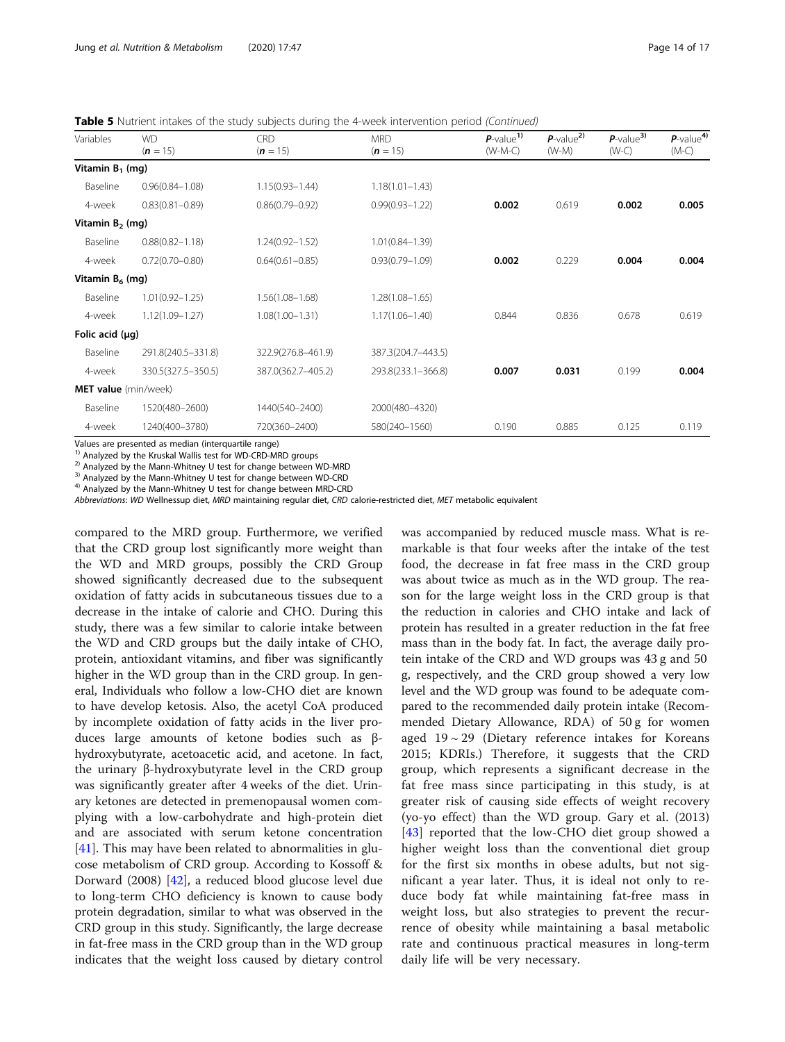Table 5 Nutrient intakes of the study subjects during the 4-week intervention period (Continued)

| Variables            | <b>WD</b><br>$(n = 15)$ | CRD<br>$(n = 15)$   | <b>MRD</b><br>$(n = 15)$ | $P$ -value <sup>1)</sup><br>$(W-M-C)$ | $P$ -value <sup>2)</sup><br>$(W-M)$ | $P$ -value <sup>3)</sup><br>$(W-C)$ | $P$ -value <sup>4)</sup><br>$(M-C)$ |
|----------------------|-------------------------|---------------------|--------------------------|---------------------------------------|-------------------------------------|-------------------------------------|-------------------------------------|
| Vitamin $B_1$ (mg)   |                         |                     |                          |                                       |                                     |                                     |                                     |
| Baseline             | $0.96(0.84 - 1.08)$     | $1.15(0.93 - 1.44)$ | $1.18(1.01 - 1.43)$      |                                       |                                     |                                     |                                     |
| 4-week               | $0.83(0.81 - 0.89)$     | $0.86(0.79 - 0.92)$ | $0.99(0.93 - 1.22)$      | 0.002                                 | 0.619                               | 0.002                               | 0.005                               |
| Vitamin $B_2$ (mg)   |                         |                     |                          |                                       |                                     |                                     |                                     |
| Baseline             | $0.88(0.82 - 1.18)$     | 1.24(0.92-1.52)     | $1.01(0.84 - 1.39)$      |                                       |                                     |                                     |                                     |
| 4-week               | $0.72(0.70 - 0.80)$     | $0.64(0.61 - 0.85)$ | $0.93(0.79 - 1.09)$      | 0.002                                 | 0.229                               | 0.004                               | 0.004                               |
| Vitamin $B_6$ (mg)   |                         |                     |                          |                                       |                                     |                                     |                                     |
| Baseline             | $1.01(0.92 - 1.25)$     | $1.56(1.08 - 1.68)$ | 1.28(1.08-1.65)          |                                       |                                     |                                     |                                     |
| 4-week               | $1.12(1.09 - 1.27)$     | $1.08(1.00 - 1.31)$ | $1.17(1.06 - 1.40)$      | 0.844                                 | 0.836                               | 0.678                               | 0.619                               |
| Folic acid $(\mu q)$ |                         |                     |                          |                                       |                                     |                                     |                                     |
| Baseline             | 291.8(240.5-331.8)      | 322.9(276.8-461.9)  | 387.3(204.7-443.5)       |                                       |                                     |                                     |                                     |
| 4-week               | 330.5(327.5-350.5)      | 387.0(362.7-405.2)  | 293.8(233.1-366.8)       | 0.007                                 | 0.031                               | 0.199                               | 0.004                               |
| MET value (min/week) |                         |                     |                          |                                       |                                     |                                     |                                     |
| Baseline             | 1520(480-2600)          | 1440(540-2400)      | 2000(480-4320)           |                                       |                                     |                                     |                                     |
| 4-week               | 1240(400-3780)          | 720(360-2400)       | 580(240-1560)            | 0.190                                 | 0.885                               | 0.125                               | 0.119                               |
|                      |                         |                     |                          |                                       |                                     |                                     |                                     |

Values are presented as median (interquartile range)<br><sup>1)</sup> Analyzed by the Kruskal Wallis test for WD-CRD-MRD groups

<sup>2)</sup> Analyzed by the Mann-Whitney U test for change between WD-MRD <sup>3)</sup> Analyzed by the Mann-Whitney U test for change between WD-CRD <sup>4)</sup> Analyzed by the Mann-Whitney U test for change between MRD-CRD

Abbreviations: WD Wellnessup diet, MRD maintaining regular diet, CRD calorie-restricted diet, MET metabolic equivalent

compared to the MRD group. Furthermore, we verified that the CRD group lost significantly more weight than the WD and MRD groups, possibly the CRD Group showed significantly decreased due to the subsequent oxidation of fatty acids in subcutaneous tissues due to a decrease in the intake of calorie and CHO. During this study, there was a few similar to calorie intake between the WD and CRD groups but the daily intake of CHO, protein, antioxidant vitamins, and fiber was significantly higher in the WD group than in the CRD group. In general, Individuals who follow a low-CHO diet are known to have develop ketosis. Also, the acetyl CoA produced by incomplete oxidation of fatty acids in the liver produces large amounts of ketone bodies such as βhydroxybutyrate, acetoacetic acid, and acetone. In fact, the urinary β-hydroxybutyrate level in the CRD group was significantly greater after 4 weeks of the diet. Urinary ketones are detected in premenopausal women complying with a low-carbohydrate and high-protein diet and are associated with serum ketone concentration [[41\]](#page-15-0). This may have been related to abnormalities in glucose metabolism of CRD group. According to Kossoff & Dorward (2008) [\[42](#page-15-0)], a reduced blood glucose level due to long-term CHO deficiency is known to cause body protein degradation, similar to what was observed in the CRD group in this study. Significantly, the large decrease in fat-free mass in the CRD group than in the WD group indicates that the weight loss caused by dietary control was accompanied by reduced muscle mass. What is remarkable is that four weeks after the intake of the test food, the decrease in fat free mass in the CRD group was about twice as much as in the WD group. The reason for the large weight loss in the CRD group is that the reduction in calories and CHO intake and lack of protein has resulted in a greater reduction in the fat free mass than in the body fat. In fact, the average daily protein intake of the CRD and WD groups was 43 g and 50 g, respectively, and the CRD group showed a very low level and the WD group was found to be adequate compared to the recommended daily protein intake (Recommended Dietary Allowance, RDA) of 50 g for women aged  $19 \sim 29$  (Dietary reference intakes for Koreans 2015; KDRIs.) Therefore, it suggests that the CRD group, which represents a significant decrease in the fat free mass since participating in this study, is at greater risk of causing side effects of weight recovery (yo-yo effect) than the WD group. Gary et al. (2013) [[43\]](#page-16-0) reported that the low-CHO diet group showed a higher weight loss than the conventional diet group for the first six months in obese adults, but not significant a year later. Thus, it is ideal not only to reduce body fat while maintaining fat-free mass in weight loss, but also strategies to prevent the recurrence of obesity while maintaining a basal metabolic rate and continuous practical measures in long-term daily life will be very necessary.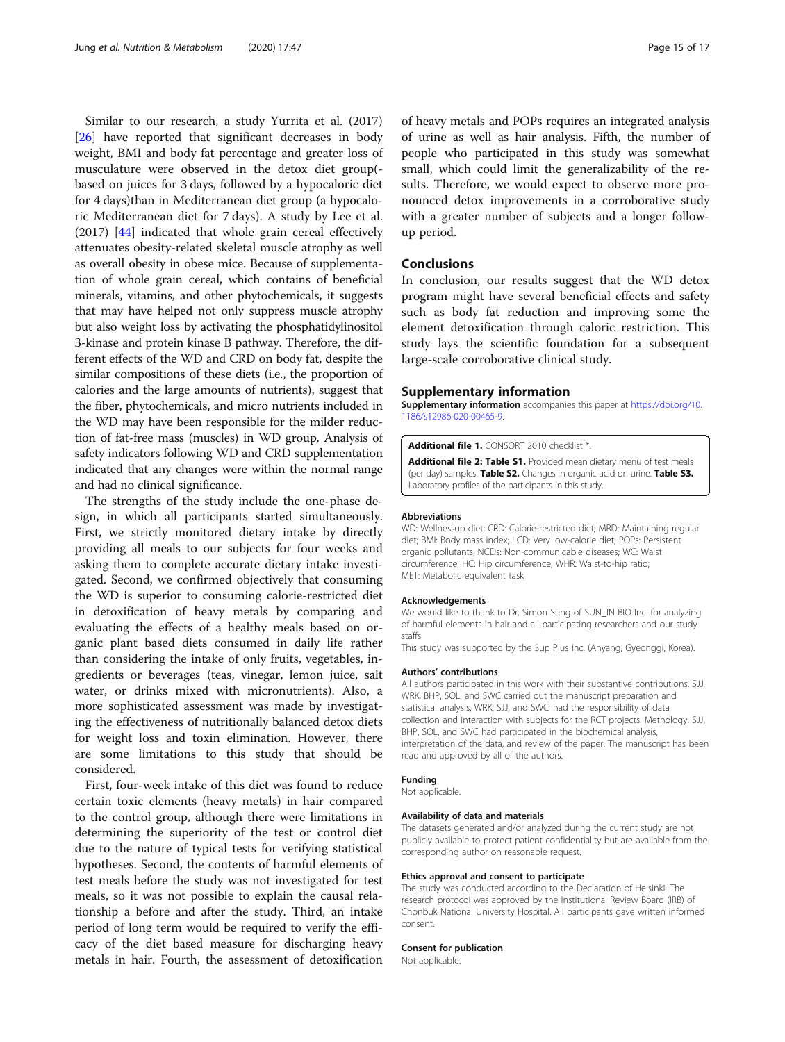<span id="page-14-0"></span>Similar to our research, a study Yurrita et al. (2017) [[26\]](#page-15-0) have reported that significant decreases in body weight, BMI and body fat percentage and greater loss of musculature were observed in the detox diet group( based on juices for 3 days, followed by a hypocaloric diet for 4 days)than in Mediterranean diet group (a hypocaloric Mediterranean diet for 7 days). A study by Lee et al. (2017) [[44\]](#page-16-0) indicated that whole grain cereal effectively attenuates obesity-related skeletal muscle atrophy as well as overall obesity in obese mice. Because of supplementation of whole grain cereal, which contains of beneficial minerals, vitamins, and other phytochemicals, it suggests that may have helped not only suppress muscle atrophy but also weight loss by activating the phosphatidylinositol 3-kinase and protein kinase B pathway. Therefore, the different effects of the WD and CRD on body fat, despite the similar compositions of these diets (i.e., the proportion of calories and the large amounts of nutrients), suggest that the fiber, phytochemicals, and micro nutrients included in the WD may have been responsible for the milder reduction of fat-free mass (muscles) in WD group. Analysis of safety indicators following WD and CRD supplementation indicated that any changes were within the normal range and had no clinical significance.

The strengths of the study include the one-phase design, in which all participants started simultaneously. First, we strictly monitored dietary intake by directly providing all meals to our subjects for four weeks and asking them to complete accurate dietary intake investigated. Second, we confirmed objectively that consuming the WD is superior to consuming calorie-restricted diet in detoxification of heavy metals by comparing and evaluating the effects of a healthy meals based on organic plant based diets consumed in daily life rather than considering the intake of only fruits, vegetables, ingredients or beverages (teas, vinegar, lemon juice, salt water, or drinks mixed with micronutrients). Also, a more sophisticated assessment was made by investigating the effectiveness of nutritionally balanced detox diets for weight loss and toxin elimination. However, there are some limitations to this study that should be considered.

First, four-week intake of this diet was found to reduce certain toxic elements (heavy metals) in hair compared to the control group, although there were limitations in determining the superiority of the test or control diet due to the nature of typical tests for verifying statistical hypotheses. Second, the contents of harmful elements of test meals before the study was not investigated for test meals, so it was not possible to explain the causal relationship a before and after the study. Third, an intake period of long term would be required to verify the efficacy of the diet based measure for discharging heavy metals in hair. Fourth, the assessment of detoxification of heavy metals and POPs requires an integrated analysis of urine as well as hair analysis. Fifth, the number of people who participated in this study was somewhat small, which could limit the generalizability of the results. Therefore, we would expect to observe more pronounced detox improvements in a corroborative study with a greater number of subjects and a longer followup period.

#### Conclusions

In conclusion, our results suggest that the WD detox program might have several beneficial effects and safety such as body fat reduction and improving some the element detoxification through caloric restriction. This study lays the scientific foundation for a subsequent large-scale corroborative clinical study.

#### Supplementary information

Supplementary information accompanies this paper at [https://doi.org/10.](https://doi.org/10.1186/s12986-020-00465-9) [1186/s12986-020-00465-9](https://doi.org/10.1186/s12986-020-00465-9).

Additional file 1. CONSORT 2010 checklist \*.

Additional file 2: Table S1. Provided mean dietary menu of test meals (per day) samples. Table S2. Changes in organic acid on urine. Table S3. Laboratory profiles of the participants in this study.

#### Abbreviations

WD: Wellnessup diet; CRD: Calorie-restricted diet; MRD: Maintaining regular diet; BMI: Body mass index; LCD: Very low-calorie diet; POPs: Persistent organic pollutants; NCDs: Non-communicable diseases; WC: Waist circumference; HC: Hip circumference; WHR: Waist-to-hip ratio; MET: Metabolic equivalent task

#### Acknowledgements

We would like to thank to Dr. Simon Sung of SUN\_IN BIO Inc. for analyzing of harmful elements in hair and all participating researchers and our study staffs.

This study was supported by the 3up Plus Inc. (Anyang, Gyeonggi, Korea).

#### Authors' contributions

All authors participated in this work with their substantive contributions. SJJ, WRK, BHP, SOL, and SWC carried out the manuscript preparation and statistical analysis, WRK, SJJ, and SWC<sup>,</sup> had the responsibility of data collection and interaction with subjects for the RCT projects. Methology, SJJ, BHP, SOL, and SWC had participated in the biochemical analysis, interpretation of the data, and review of the paper. The manuscript has been read and approved by all of the authors.

#### Funding

Not applicable.

#### Availability of data and materials

The datasets generated and/or analyzed during the current study are not publicly available to protect patient confidentiality but are available from the corresponding author on reasonable request.

#### Ethics approval and consent to participate

The study was conducted according to the Declaration of Helsinki. The research protocol was approved by the Institutional Review Board (IRB) of Chonbuk National University Hospital. All participants gave written informed consent.

#### Consent for publication

Not applicable.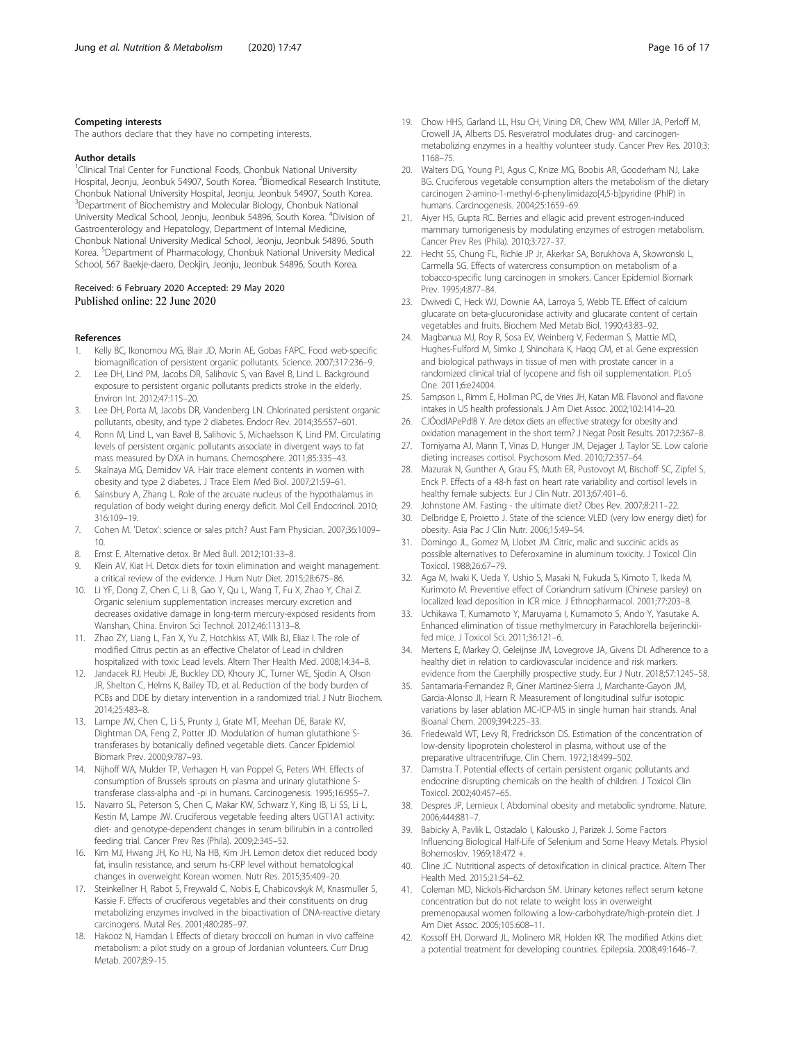#### <span id="page-15-0"></span>Competing interests

The authors declare that they have no competing interests.

#### Author details

<sup>1</sup>Clinical Trial Center for Functional Foods, Chonbuk National University Hospital, Jeonju, Jeonbuk 54907, South Korea. <sup>2</sup>Biomedical Research Institute, Chonbuk National University Hospital, Jeonju, Jeonbuk 54907, South Korea. <sup>3</sup>Department of Biochemistry and Molecular Biology, Chonbuk National University Medical School, Jeonju, Jeonbuk 54896, South Korea. <sup>4</sup>Division of Gastroenterology and Hepatology, Department of Internal Medicine, Chonbuk National University Medical School, Jeonju, Jeonbuk 54896, South Korea. <sup>5</sup>Department of Pharmacology, Chonbuk National University Medical School, 567 Baekje-daero, Deokjin, Jeonju, Jeonbuk 54896, South Korea.

#### Received: 6 February 2020 Accepted: 29 May 2020 Published online: 22 June 2020

#### References

- 1. Kelly BC, Ikonomou MG, Blair JD, Morin AE, Gobas FAPC. Food web-specific biomagnification of persistent organic pollutants. Science. 2007;317:236–9.
- 2. Lee DH, Lind PM, Jacobs DR, Salihovic S, van Bavel B, Lind L. Background exposure to persistent organic pollutants predicts stroke in the elderly. Environ Int. 2012;47:115–20.
- 3. Lee DH, Porta M, Jacobs DR, Vandenberg LN. Chlorinated persistent organic pollutants, obesity, and type 2 diabetes. Endocr Rev. 2014;35:557–601.
- 4. Ronn M, Lind L, van Bavel B, Salihovic S, Michaelsson K, Lind PM. Circulating levels of persistent organic pollutants associate in divergent ways to fat mass measured by DXA in humans. Chemosphere. 2011;85:335–43.
- 5. Skalnaya MG, Demidov VA. Hair trace element contents in women with obesity and type 2 diabetes. J Trace Elem Med Biol. 2007;21:59–61.
- 6. Sainsbury A, Zhang L. Role of the arcuate nucleus of the hypothalamus in regulation of body weight during energy deficit. Mol Cell Endocrinol. 2010; 316:109–19.
- 7. Cohen M. 'Detox': science or sales pitch? Aust Fam Physician. 2007;36:1009– 10.
- 8. Ernst E. Alternative detox. Br Med Bull. 2012;101:33–8.
- Klein AV, Kiat H. Detox diets for toxin elimination and weight management: a critical review of the evidence. J Hum Nutr Diet. 2015;28:675–86.
- 10. Li YF, Dong Z, Chen C, Li B, Gao Y, Qu L, Wang T, Fu X, Zhao Y, Chai Z. Organic selenium supplementation increases mercury excretion and decreases oxidative damage in long-term mercury-exposed residents from Wanshan, China. Environ Sci Technol. 2012;46:11313–8.
- 11. Zhao ZY, Liang L, Fan X, Yu Z, Hotchkiss AT, Wilk BJ, Eliaz I. The role of modified Citrus pectin as an effective Chelator of Lead in children hospitalized with toxic Lead levels. Altern Ther Health Med. 2008;14:34–8.
- 12. Jandacek RJ, Heubi JE, Buckley DD, Khoury JC, Turner WE, Sjodin A, Olson JR, Shelton C, Helms K, Bailey TD, et al. Reduction of the body burden of PCBs and DDE by dietary intervention in a randomized trial. J Nutr Biochem. 2014;25:483–8.
- 13. Lampe JW, Chen C, Li S, Prunty J, Grate MT, Meehan DE, Barale KV, Dightman DA, Feng Z, Potter JD. Modulation of human glutathione Stransferases by botanically defined vegetable diets. Cancer Epidemiol Biomark Prev. 2000;9:787–93.
- 14. Nijhoff WA, Mulder TP, Verhagen H, van Poppel G, Peters WH. Effects of consumption of Brussels sprouts on plasma and urinary glutathione Stransferase class-alpha and -pi in humans. Carcinogenesis. 1995;16:955–7.
- 15. Navarro SL, Peterson S, Chen C, Makar KW, Schwarz Y, King IB, Li SS, Li L, Kestin M, Lampe JW. Cruciferous vegetable feeding alters UGT1A1 activity: diet- and genotype-dependent changes in serum bilirubin in a controlled feeding trial. Cancer Prev Res (Phila). 2009;2:345–52.
- 16. Kim MJ, Hwang JH, Ko HJ, Na HB, Kim JH. Lemon detox diet reduced body fat, insulin resistance, and serum hs-CRP level without hematological changes in overweight Korean women. Nutr Res. 2015;35:409–20.
- 17. Steinkellner H, Rabot S, Freywald C, Nobis E, Chabicovskyk M, Knasmuller S, Kassie F. Effects of cruciferous vegetables and their constituents on drug metabolizing enzymes involved in the bioactivation of DNA-reactive dietary carcinogens. Mutal Res. 2001;480:285–97.
- 18. Hakooz N, Hamdan I. Effects of dietary broccoli on human in vivo caffeine metabolism: a pilot study on a group of Jordanian volunteers. Curr Drug Metab. 2007;8:9–15.
- 19. Chow HHS, Garland LL, Hsu CH, Vining DR, Chew WM, Miller JA, Perloff M, Crowell JA, Alberts DS. Resveratrol modulates drug- and carcinogenmetabolizing enzymes in a healthy volunteer study. Cancer Prev Res. 2010;3: 1168–75.
- 20. Walters DG, Young PJ, Agus C, Knize MG, Boobis AR, Gooderham NJ, Lake BG. Cruciferous vegetable consumption alters the metabolism of the dietary carcinogen 2-amino-1-methyl-6-phenylimidazo[4,5-b]pyridine (PhIP) in humans. Carcinogenesis. 2004;25:1659–69.
- 21. Aiyer HS, Gupta RC. Berries and ellagic acid prevent estrogen-induced mammary tumorigenesis by modulating enzymes of estrogen metabolism. Cancer Prev Res (Phila). 2010;3:727–37.
- 22. Hecht SS, Chung FL, Richie JP Jr, Akerkar SA, Borukhova A, Skowronski L, Carmella SG. Effects of watercress consumption on metabolism of a tobacco-specific lung carcinogen in smokers. Cancer Epidemiol Biomark Prev. 1995;4:877–84.
- 23. Dwivedi C, Heck WJ, Downie AA, Larroya S, Webb TE. Effect of calcium glucarate on beta-glucuronidase activity and glucarate content of certain vegetables and fruits. Biochem Med Metab Biol. 1990;43:83–92.
- 24. Magbanua MJ, Roy R, Sosa EV, Weinberg V, Federman S, Mattie MD, Hughes-Fulford M, Simko J, Shinohara K, Haqq CM, et al. Gene expression and biological pathways in tissue of men with prostate cancer in a randomized clinical trial of lycopene and fish oil supplementation. PLoS One. 2011;6:e24004.
- 25. Sampson L, Rimm E, Hollman PC, de Vries JH, Katan MB. Flavonol and flavone intakes in US health professionals. J Am Diet Assoc. 2002;102:1414–20.
- 26. CJÓodlAPePdlB Y. Are detox diets an effective strategy for obesity and oxidation management in the short term? J Negat Posit Results. 2017;2:367–8.
- 27. Tomiyama AJ, Mann T, Vinas D, Hunger JM, Dejager J, Taylor SE. Low calorie dieting increases cortisol. Psychosom Med. 2010;72:357–64.
- 28. Mazurak N, Gunther A, Grau FS, Muth ER, Pustovoyt M, Bischoff SC, Zipfel S, Enck P. Effects of a 48-h fast on heart rate variability and cortisol levels in healthy female subjects. Eur J Clin Nutr. 2013;67:401–6.
- 29. Johnstone AM. Fasting the ultimate diet? Obes Rev. 2007;8:211–22.
- 30. Delbridge E, Proietto J. State of the science: VLED (very low energy diet) for obesity. Asia Pac J Clin Nutr. 2006;15:49–54.
- 31. Domingo JL, Gomez M, Llobet JM. Citric, malic and succinic acids as possible alternatives to Deferoxamine in aluminum toxicity. J Toxicol Clin Toxicol. 1988;26:67–79.
- 32. Aga M, Iwaki K, Ueda Y, Ushio S, Masaki N, Fukuda S, Kimoto T, Ikeda M, Kurimoto M. Preventive effect of Coriandrum sativum (Chinese parsley) on localized lead deposition in ICR mice. J Ethnopharmacol. 2001;77:203–8.
- 33. Uchikawa T, Kumamoto Y, Maruyama I, Kumamoto S, Ando Y, Yasutake A. Enhanced elimination of tissue methylmercury in Parachlorella beijerinckiifed mice. J Toxicol Sci. 2011;36:121–6.
- 34. Mertens E, Markey O, Geleijnse JM, Lovegrove JA, Givens DI. Adherence to a healthy diet in relation to cardiovascular incidence and risk markers: evidence from the Caerphilly prospective study. Eur J Nutr. 2018;57:1245–58.
- 35. Santamaria-Fernandez R, Giner Martinez-Sierra J, Marchante-Gayon JM, Garcia-Alonso JI, Hearn R. Measurement of longitudinal sulfur isotopic variations by laser ablation MC-ICP-MS in single human hair strands. Anal Bioanal Chem. 2009;394:225–33.
- 36. Friedewald WT, Levy RI, Fredrickson DS. Estimation of the concentration of low-density lipoprotein cholesterol in plasma, without use of the preparative ultracentrifuge. Clin Chem. 1972;18:499–502.
- 37. Damstra T. Potential effects of certain persistent organic pollutants and endocrine disrupting chemicals on the health of children. J Toxicol Clin Toxicol. 2002;40:457–65.
- 38. Despres JP, Lemieux I. Abdominal obesity and metabolic syndrome. Nature. 2006;444:881–7.
- 39. Babicky A, Pavlik L, Ostadalo I, Kalousko J, Parizek J. Some Factors Influencing Biological Half-Life of Selenium and Some Heavy Metals. Physiol Bohemoslov. 1969;18:472 +.
- 40. Cline JC. Nutritional aspects of detoxification in clinical practice. Altern Ther Health Med. 2015;21:54–62.
- 41. Coleman MD, Nickols-Richardson SM. Urinary ketones reflect serum ketone concentration but do not relate to weight loss in overweight premenopausal women following a low-carbohydrate/high-protein diet. J Am Diet Assoc. 2005;105:608–11.
- 42. Kossoff EH, Dorward JL, Molinero MR, Holden KR. The modified Atkins diet: a potential treatment for developing countries. Epilepsia. 2008;49:1646–7.